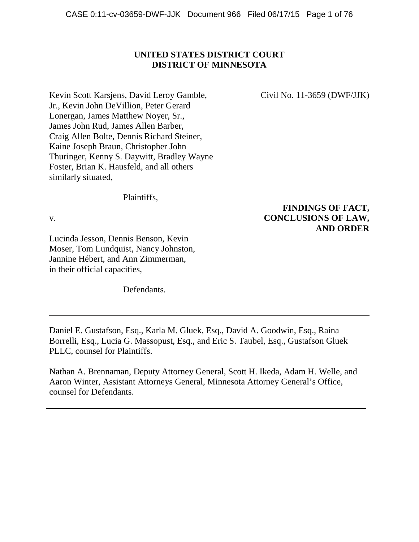# **UNITED STATES DISTRICT COURT DISTRICT OF MINNESOTA**

Kevin Scott Karsjens, David Leroy Gamble, Civil No. 11-3659 (DWF/JJK) Jr., Kevin John DeVillion, Peter Gerard Lonergan, James Matthew Noyer, Sr., James John Rud, James Allen Barber, Craig Allen Bolte, Dennis Richard Steiner, Kaine Joseph Braun, Christopher John Thuringer, Kenny S. Daywitt, Bradley Wayne Foster, Brian K. Hausfeld, and all others similarly situated,

Plaintiffs,

Lucinda Jesson, Dennis Benson, Kevin Moser, Tom Lundquist, Nancy Johnston, Jannine Hébert, and Ann Zimmerman, in their official capacities,

Defendants.

# **FINDINGS OF FACT,** v. **CONCLUSIONS OF LAW, AND ORDER**

Daniel E. Gustafson, Esq., Karla M. Gluek, Esq., David A. Goodwin, Esq., Raina Borrelli, Esq., Lucia G. Massopust, Esq., and Eric S. Taubel, Esq., Gustafson Gluek PLLC, counsel for Plaintiffs.

Nathan A. Brennaman, Deputy Attorney General, Scott H. Ikeda, Adam H. Welle, and Aaron Winter, Assistant Attorneys General, Minnesota Attorney General's Office, counsel for Defendants.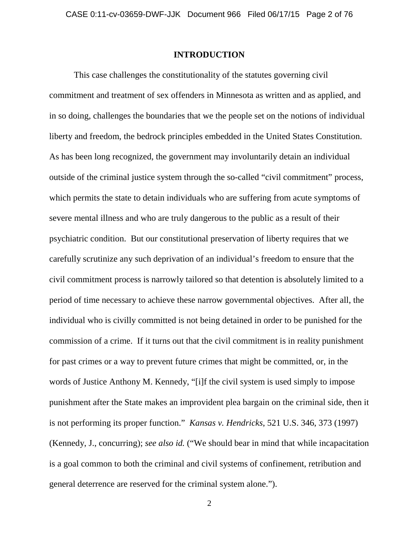## **INTRODUCTION**

This case challenges the constitutionality of the statutes governing civil commitment and treatment of sex offenders in Minnesota as written and as applied, and in so doing, challenges the boundaries that we the people set on the notions of individual liberty and freedom, the bedrock principles embedded in the United States Constitution. As has been long recognized, the government may involuntarily detain an individual outside of the criminal justice system through the so-called "civil commitment" process, which permits the state to detain individuals who are suffering from acute symptoms of severe mental illness and who are truly dangerous to the public as a result of their psychiatric condition. But our constitutional preservation of liberty requires that we carefully scrutinize any such deprivation of an individual's freedom to ensure that the civil commitment process is narrowly tailored so that detention is absolutely limited to a period of time necessary to achieve these narrow governmental objectives. After all, the individual who is civilly committed is not being detained in order to be punished for the commission of a crime. If it turns out that the civil commitment is in reality punishment for past crimes or a way to prevent future crimes that might be committed, or, in the words of Justice Anthony M. Kennedy, "[i]f the civil system is used simply to impose punishment after the State makes an improvident plea bargain on the criminal side, then it is not performing its proper function." *Kansas v. Hendricks*, 521 U.S. 346, 373 (1997) (Kennedy, J., concurring); *see also id.* ("We should bear in mind that while incapacitation is a goal common to both the criminal and civil systems of confinement, retribution and general deterrence are reserved for the criminal system alone.").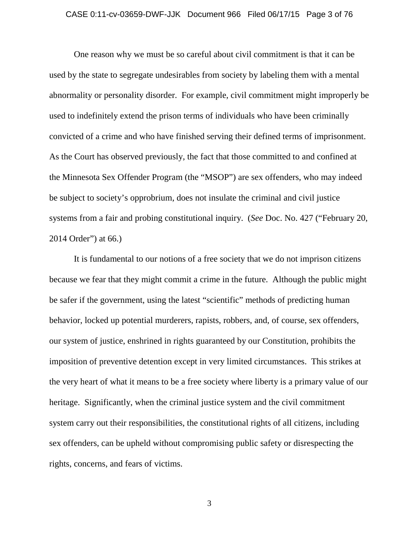## CASE 0:11-cv-03659-DWF-JJK Document 966 Filed 06/17/15 Page 3 of 76

One reason why we must be so careful about civil commitment is that it can be used by the state to segregate undesirables from society by labeling them with a mental abnormality or personality disorder. For example, civil commitment might improperly be used to indefinitely extend the prison terms of individuals who have been criminally convicted of a crime and who have finished serving their defined terms of imprisonment. As the Court has observed previously, the fact that those committed to and confined at the Minnesota Sex Offender Program (the "MSOP") are sex offenders, who may indeed be subject to society's opprobrium, does not insulate the criminal and civil justice systems from a fair and probing constitutional inquiry. (*See* Doc. No. 427 ("February 20, 2014 Order") at 66.)

It is fundamental to our notions of a free society that we do not imprison citizens because we fear that they might commit a crime in the future. Although the public might be safer if the government, using the latest "scientific" methods of predicting human behavior, locked up potential murderers, rapists, robbers, and, of course, sex offenders, our system of justice, enshrined in rights guaranteed by our Constitution, prohibits the imposition of preventive detention except in very limited circumstances. This strikes at the very heart of what it means to be a free society where liberty is a primary value of our heritage. Significantly, when the criminal justice system and the civil commitment system carry out their responsibilities, the constitutional rights of all citizens, including sex offenders, can be upheld without compromising public safety or disrespecting the rights, concerns, and fears of victims.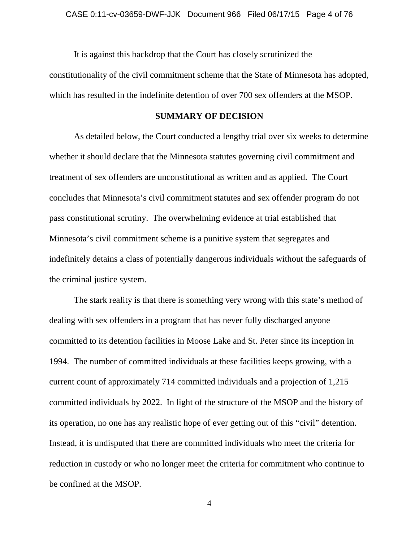It is against this backdrop that the Court has closely scrutinized the constitutionality of the civil commitment scheme that the State of Minnesota has adopted, which has resulted in the indefinite detention of over 700 sex offenders at the MSOP.

## **SUMMARY OF DECISION**

As detailed below, the Court conducted a lengthy trial over six weeks to determine whether it should declare that the Minnesota statutes governing civil commitment and treatment of sex offenders are unconstitutional as written and as applied. The Court concludes that Minnesota's civil commitment statutes and sex offender program do not pass constitutional scrutiny. The overwhelming evidence at trial established that Minnesota's civil commitment scheme is a punitive system that segregates and indefinitely detains a class of potentially dangerous individuals without the safeguards of the criminal justice system.

The stark reality is that there is something very wrong with this state's method of dealing with sex offenders in a program that has never fully discharged anyone committed to its detention facilities in Moose Lake and St. Peter since its inception in 1994. The number of committed individuals at these facilities keeps growing, with a current count of approximately 714 committed individuals and a projection of 1,215 committed individuals by 2022. In light of the structure of the MSOP and the history of its operation, no one has any realistic hope of ever getting out of this "civil" detention. Instead, it is undisputed that there are committed individuals who meet the criteria for reduction in custody or who no longer meet the criteria for commitment who continue to be confined at the MSOP.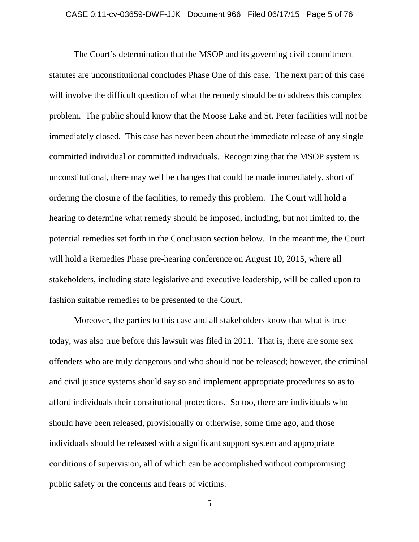## CASE 0:11-cv-03659-DWF-JJK Document 966 Filed 06/17/15 Page 5 of 76

The Court's determination that the MSOP and its governing civil commitment statutes are unconstitutional concludes Phase One of this case. The next part of this case will involve the difficult question of what the remedy should be to address this complex problem. The public should know that the Moose Lake and St. Peter facilities will not be immediately closed. This case has never been about the immediate release of any single committed individual or committed individuals. Recognizing that the MSOP system is unconstitutional, there may well be changes that could be made immediately, short of ordering the closure of the facilities, to remedy this problem. The Court will hold a hearing to determine what remedy should be imposed, including, but not limited to, the potential remedies set forth in the Conclusion section below. In the meantime, the Court will hold a Remedies Phase pre-hearing conference on August 10, 2015, where all stakeholders, including state legislative and executive leadership, will be called upon to fashion suitable remedies to be presented to the Court.

Moreover, the parties to this case and all stakeholders know that what is true today, was also true before this lawsuit was filed in 2011. That is, there are some sex offenders who are truly dangerous and who should not be released; however, the criminal and civil justice systems should say so and implement appropriate procedures so as to afford individuals their constitutional protections. So too, there are individuals who should have been released, provisionally or otherwise, some time ago, and those individuals should be released with a significant support system and appropriate conditions of supervision, all of which can be accomplished without compromising public safety or the concerns and fears of victims.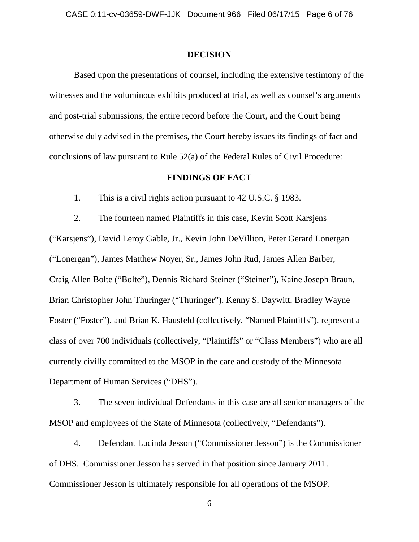## **DECISION**

Based upon the presentations of counsel, including the extensive testimony of the witnesses and the voluminous exhibits produced at trial, as well as counsel's arguments and post-trial submissions, the entire record before the Court, and the Court being otherwise duly advised in the premises, the Court hereby issues its findings of fact and conclusions of law pursuant to Rule 52(a) of the Federal Rules of Civil Procedure:

## **FINDINGS OF FACT**

1. This is a civil rights action pursuant to 42 U.S.C. § 1983.

2. The fourteen named Plaintiffs in this case, Kevin Scott Karsjens ("Karsjens"), David Leroy Gable, Jr., Kevin John DeVillion, Peter Gerard Lonergan ("Lonergan"), James Matthew Noyer, Sr., James John Rud, James Allen Barber, Craig Allen Bolte ("Bolte"), Dennis Richard Steiner ("Steiner"), Kaine Joseph Braun, Brian Christopher John Thuringer ("Thuringer"), Kenny S. Daywitt, Bradley Wayne Foster ("Foster"), and Brian K. Hausfeld (collectively, "Named Plaintiffs"), represent a class of over 700 individuals (collectively, "Plaintiffs" or "Class Members") who are all currently civilly committed to the MSOP in the care and custody of the Minnesota Department of Human Services ("DHS").

3. The seven individual Defendants in this case are all senior managers of the MSOP and employees of the State of Minnesota (collectively, "Defendants").

4. Defendant Lucinda Jesson ("Commissioner Jesson") is the Commissioner of DHS. Commissioner Jesson has served in that position since January 2011. Commissioner Jesson is ultimately responsible for all operations of the MSOP.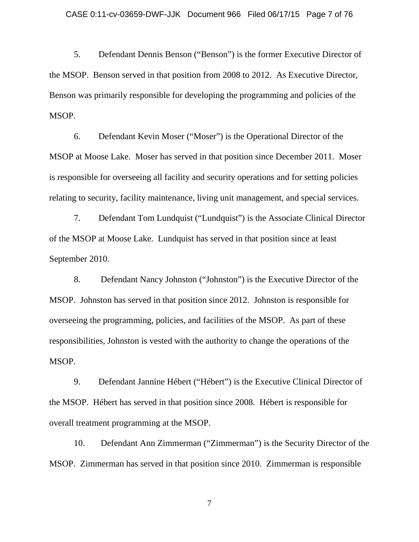5. Defendant Dennis Benson ("Benson") is the former Executive Director of the MSOP. Benson served in that position from 2008 to 2012. As Executive Director, Benson was primarily responsible for developing the programming and policies of the MSOP.

6. Defendant Kevin Moser ("Moser") is the Operational Director of the MSOP at Moose Lake. Moser has served in that position since December 2011. Moser is responsible for overseeing all facility and security operations and for setting policies relating to security, facility maintenance, living unit management, and special services.

7. Defendant Tom Lundquist ("Lundquist") is the Associate Clinical Director of the MSOP at Moose Lake. Lundquist has served in that position since at least September 2010.

8. Defendant Nancy Johnston ("Johnston") is the Executive Director of the MSOP. Johnston has served in that position since 2012. Johnston is responsible for overseeing the programming, policies, and facilities of the MSOP. As part of these responsibilities, Johnston is vested with the authority to change the operations of the MSOP.

9. Defendant Jannine Hébert ("Hébert") is the Executive Clinical Director of the MSOP. Hébert has served in that position since 2008. Hébert is responsible for overall treatment programming at the MSOP.

10. Defendant Ann Zimmerman ("Zimmerman") is the Security Director of the MSOP. Zimmerman has served in that position since 2010. Zimmerman is responsible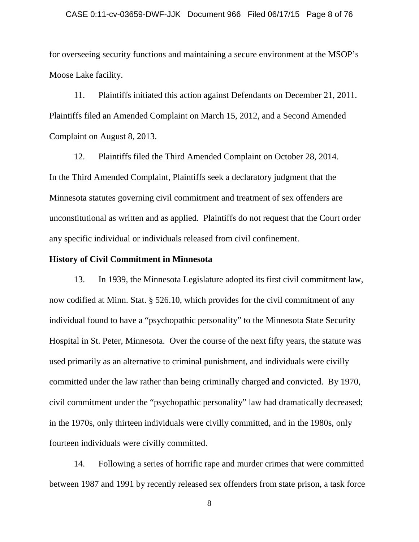## CASE 0:11-cv-03659-DWF-JJK Document 966 Filed 06/17/15 Page 8 of 76

for overseeing security functions and maintaining a secure environment at the MSOP's Moose Lake facility.

11. Plaintiffs initiated this action against Defendants on December 21, 2011. Plaintiffs filed an Amended Complaint on March 15, 2012, and a Second Amended Complaint on August 8, 2013.

12. Plaintiffs filed the Third Amended Complaint on October 28, 2014. In the Third Amended Complaint, Plaintiffs seek a declaratory judgment that the Minnesota statutes governing civil commitment and treatment of sex offenders are unconstitutional as written and as applied. Plaintiffs do not request that the Court order any specific individual or individuals released from civil confinement.

## **History of Civil Commitment in Minnesota**

13. In 1939, the Minnesota Legislature adopted its first civil commitment law, now codified at Minn. Stat. § 526.10, which provides for the civil commitment of any individual found to have a "psychopathic personality" to the Minnesota State Security Hospital in St. Peter, Minnesota. Over the course of the next fifty years, the statute was used primarily as an alternative to criminal punishment, and individuals were civilly committed under the law rather than being criminally charged and convicted. By 1970, civil commitment under the "psychopathic personality" law had dramatically decreased; in the 1970s, only thirteen individuals were civilly committed, and in the 1980s, only fourteen individuals were civilly committed.

14. Following a series of horrific rape and murder crimes that were committed between 1987 and 1991 by recently released sex offenders from state prison, a task force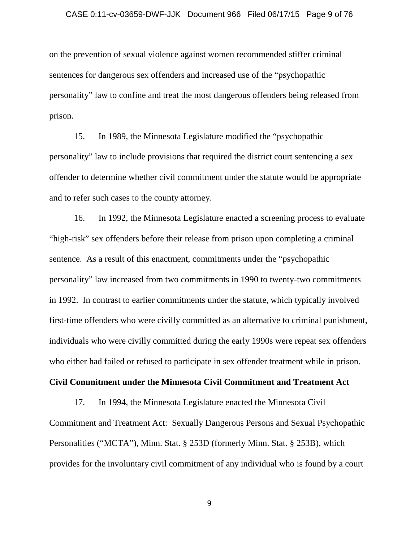## CASE 0:11-cv-03659-DWF-JJK Document 966 Filed 06/17/15 Page 9 of 76

on the prevention of sexual violence against women recommended stiffer criminal sentences for dangerous sex offenders and increased use of the "psychopathic personality" law to confine and treat the most dangerous offenders being released from prison.

15. In 1989, the Minnesota Legislature modified the "psychopathic personality" law to include provisions that required the district court sentencing a sex offender to determine whether civil commitment under the statute would be appropriate and to refer such cases to the county attorney.

16. In 1992, the Minnesota Legislature enacted a screening process to evaluate "high-risk" sex offenders before their release from prison upon completing a criminal sentence. As a result of this enactment, commitments under the "psychopathic personality" law increased from two commitments in 1990 to twenty-two commitments in 1992. In contrast to earlier commitments under the statute, which typically involved first-time offenders who were civilly committed as an alternative to criminal punishment, individuals who were civilly committed during the early 1990s were repeat sex offenders who either had failed or refused to participate in sex offender treatment while in prison.

## **Civil Commitment under the Minnesota Civil Commitment and Treatment Act**

17. In 1994, the Minnesota Legislature enacted the Minnesota Civil Commitment and Treatment Act: Sexually Dangerous Persons and Sexual Psychopathic Personalities ("MCTA"), Minn. Stat. § 253D (formerly Minn. Stat. § 253B), which provides for the involuntary civil commitment of any individual who is found by a court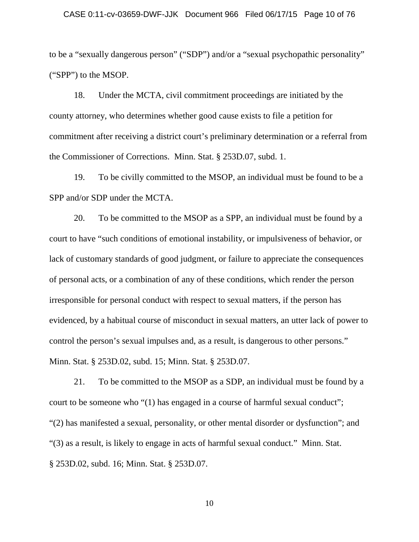### CASE 0:11-cv-03659-DWF-JJK Document 966 Filed 06/17/15 Page 10 of 76

to be a "sexually dangerous person" ("SDP") and/or a "sexual psychopathic personality" ("SPP") to the MSOP.

18. Under the MCTA, civil commitment proceedings are initiated by the county attorney, who determines whether good cause exists to file a petition for commitment after receiving a district court's preliminary determination or a referral from the Commissioner of Corrections. Minn. Stat. § 253D.07, subd. 1.

19. To be civilly committed to the MSOP, an individual must be found to be a SPP and/or SDP under the MCTA.

20. To be committed to the MSOP as a SPP, an individual must be found by a court to have "such conditions of emotional instability, or impulsiveness of behavior, or lack of customary standards of good judgment, or failure to appreciate the consequences of personal acts, or a combination of any of these conditions, which render the person irresponsible for personal conduct with respect to sexual matters, if the person has evidenced, by a habitual course of misconduct in sexual matters, an utter lack of power to control the person's sexual impulses and, as a result, is dangerous to other persons." Minn. Stat. § 253D.02, subd. 15; Minn. Stat. § 253D.07.

21. To be committed to the MSOP as a SDP, an individual must be found by a court to be someone who "(1) has engaged in a course of harmful sexual conduct"; "(2) has manifested a sexual, personality, or other mental disorder or dysfunction"; and "(3) as a result, is likely to engage in acts of harmful sexual conduct." Minn. Stat. § 253D.02, subd. 16; Minn. Stat. § 253D.07.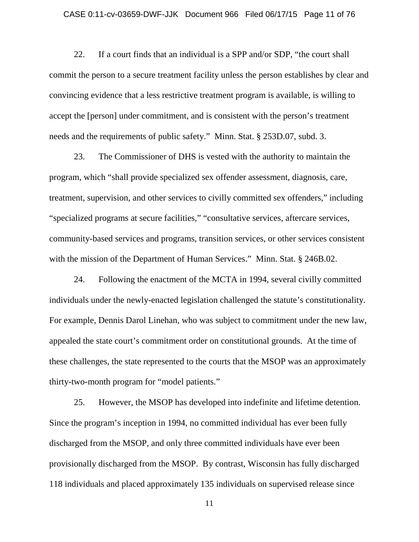### CASE 0:11-cv-03659-DWF-JJK Document 966 Filed 06/17/15 Page 11 of 76

22. If a court finds that an individual is a SPP and/or SDP, "the court shall commit the person to a secure treatment facility unless the person establishes by clear and convincing evidence that a less restrictive treatment program is available, is willing to accept the [person] under commitment, and is consistent with the person's treatment needs and the requirements of public safety." Minn. Stat. § 253D.07, subd. 3.

23. The Commissioner of DHS is vested with the authority to maintain the program, which "shall provide specialized sex offender assessment, diagnosis, care, treatment, supervision, and other services to civilly committed sex offenders," including "specialized programs at secure facilities," "consultative services, aftercare services, community-based services and programs, transition services, or other services consistent with the mission of the Department of Human Services." Minn. Stat. § 246B.02.

24. Following the enactment of the MCTA in 1994, several civilly committed individuals under the newly-enacted legislation challenged the statute's constitutionality. For example, Dennis Darol Linehan, who was subject to commitment under the new law, appealed the state court's commitment order on constitutional grounds. At the time of these challenges, the state represented to the courts that the MSOP was an approximately thirty-two-month program for "model patients."

25. However, the MSOP has developed into indefinite and lifetime detention. Since the program's inception in 1994, no committed individual has ever been fully discharged from the MSOP, and only three committed individuals have ever been provisionally discharged from the MSOP. By contrast, Wisconsin has fully discharged 118 individuals and placed approximately 135 individuals on supervised release since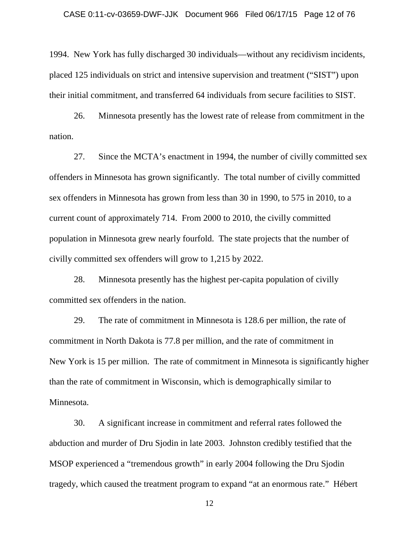### CASE 0:11-cv-03659-DWF-JJK Document 966 Filed 06/17/15 Page 12 of 76

1994. New York has fully discharged 30 individuals—without any recidivism incidents, placed 125 individuals on strict and intensive supervision and treatment ("SIST") upon their initial commitment, and transferred 64 individuals from secure facilities to SIST.

26. Minnesota presently has the lowest rate of release from commitment in the nation.

27. Since the MCTA's enactment in 1994, the number of civilly committed sex offenders in Minnesota has grown significantly. The total number of civilly committed sex offenders in Minnesota has grown from less than 30 in 1990, to 575 in 2010, to a current count of approximately 714. From 2000 to 2010, the civilly committed population in Minnesota grew nearly fourfold. The state projects that the number of civilly committed sex offenders will grow to 1,215 by 2022.

28. Minnesota presently has the highest per-capita population of civilly committed sex offenders in the nation.

29. The rate of commitment in Minnesota is 128.6 per million, the rate of commitment in North Dakota is 77.8 per million, and the rate of commitment in New York is 15 per million. The rate of commitment in Minnesota is significantly higher than the rate of commitment in Wisconsin, which is demographically similar to Minnesota.

30. A significant increase in commitment and referral rates followed the abduction and murder of Dru Sjodin in late 2003. Johnston credibly testified that the MSOP experienced a "tremendous growth" in early 2004 following the Dru Sjodin tragedy, which caused the treatment program to expand "at an enormous rate." Hébert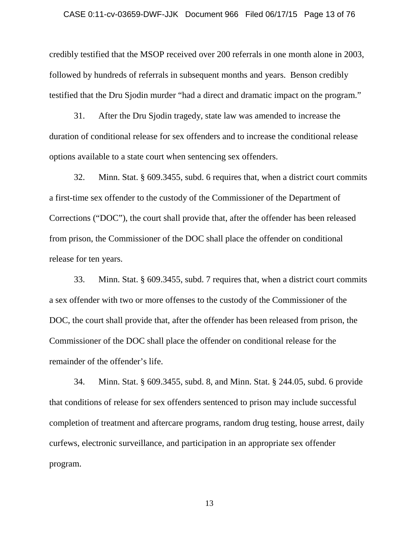#### CASE 0:11-cv-03659-DWF-JJK Document 966 Filed 06/17/15 Page 13 of 76

credibly testified that the MSOP received over 200 referrals in one month alone in 2003, followed by hundreds of referrals in subsequent months and years. Benson credibly testified that the Dru Sjodin murder "had a direct and dramatic impact on the program."

31. After the Dru Sjodin tragedy, state law was amended to increase the duration of conditional release for sex offenders and to increase the conditional release options available to a state court when sentencing sex offenders.

32. Minn. Stat. § 609.3455, subd. 6 requires that, when a district court commits a first-time sex offender to the custody of the Commissioner of the Department of Corrections ("DOC"), the court shall provide that, after the offender has been released from prison, the Commissioner of the DOC shall place the offender on conditional release for ten years.

33. Minn. Stat. § 609.3455, subd. 7 requires that, when a district court commits a sex offender with two or more offenses to the custody of the Commissioner of the DOC, the court shall provide that, after the offender has been released from prison, the Commissioner of the DOC shall place the offender on conditional release for the remainder of the offender's life.

34. Minn. Stat. § 609.3455, subd. 8, and Minn. Stat. § 244.05, subd. 6 provide that conditions of release for sex offenders sentenced to prison may include successful completion of treatment and aftercare programs, random drug testing, house arrest, daily curfews, electronic surveillance, and participation in an appropriate sex offender program.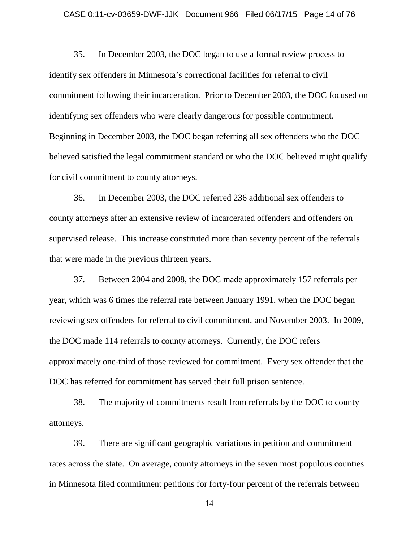#### CASE 0:11-cv-03659-DWF-JJK Document 966 Filed 06/17/15 Page 14 of 76

35. In December 2003, the DOC began to use a formal review process to identify sex offenders in Minnesota's correctional facilities for referral to civil commitment following their incarceration. Prior to December 2003, the DOC focused on identifying sex offenders who were clearly dangerous for possible commitment. Beginning in December 2003, the DOC began referring all sex offenders who the DOC believed satisfied the legal commitment standard or who the DOC believed might qualify for civil commitment to county attorneys.

36. In December 2003, the DOC referred 236 additional sex offenders to county attorneys after an extensive review of incarcerated offenders and offenders on supervised release. This increase constituted more than seventy percent of the referrals that were made in the previous thirteen years.

37. Between 2004 and 2008, the DOC made approximately 157 referrals per year, which was 6 times the referral rate between January 1991, when the DOC began reviewing sex offenders for referral to civil commitment, and November 2003. In 2009, the DOC made 114 referrals to county attorneys. Currently, the DOC refers approximately one-third of those reviewed for commitment. Every sex offender that the DOC has referred for commitment has served their full prison sentence.

38. The majority of commitments result from referrals by the DOC to county attorneys.

39. There are significant geographic variations in petition and commitment rates across the state. On average, county attorneys in the seven most populous counties in Minnesota filed commitment petitions for forty-four percent of the referrals between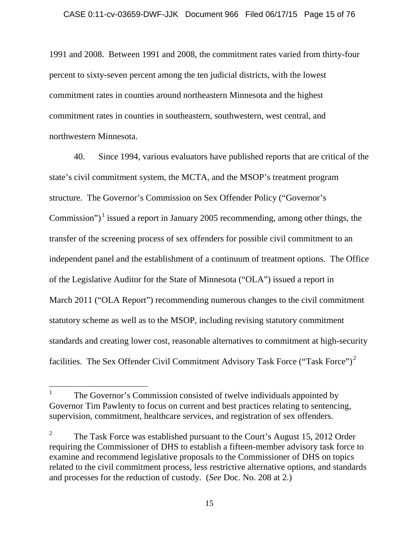1991 and 2008. Between 1991 and 2008, the commitment rates varied from thirty-four percent to sixty-seven percent among the ten judicial districts, with the lowest commitment rates in counties around northeastern Minnesota and the highest commitment rates in counties in southeastern, southwestern, west central, and northwestern Minnesota.

40. Since 1994, various evaluators have published reports that are critical of the state's civil commitment system, the MCTA, and the MSOP's treatment program structure. The Governor's Commission on Sex Offender Policy ("Governor's Commission")<sup> $\perp$ </sup> issued a report in January 2005 recommending, among other things, the transfer of the screening process of sex offenders for possible civil commitment to an independent panel and the establishment of a continuum of treatment options. The Office of the Legislative Auditor for the State of Minnesota ("OLA") issued a report in March 2011 ("OLA Report") recommending numerous changes to the civil commitment statutory scheme as well as to the MSOP, including revising statutory commitment standards and creating lower cost, reasonable alternatives to commitment at high-security facilities. The Sex Offender Civil Commitment Advisory Task Force ("Task Force")<sup>[2](#page-14-1)</sup>

<span id="page-14-0"></span><sup>&</sup>lt;sup>1</sup> The Governor's Commission consisted of twelve individuals appointed by Governor Tim Pawlenty to focus on current and best practices relating to sentencing, supervision, commitment, healthcare services, and registration of sex offenders.

<span id="page-14-1"></span><sup>&</sup>lt;sup>2</sup> The Task Force was established pursuant to the Court's August 15, 2012 Order requiring the Commissioner of DHS to establish a fifteen-member advisory task force to examine and recommend legislative proposals to the Commissioner of DHS on topics related to the civil commitment process, less restrictive alternative options, and standards and processes for the reduction of custody. (*See* Doc. No. 208 at 2.)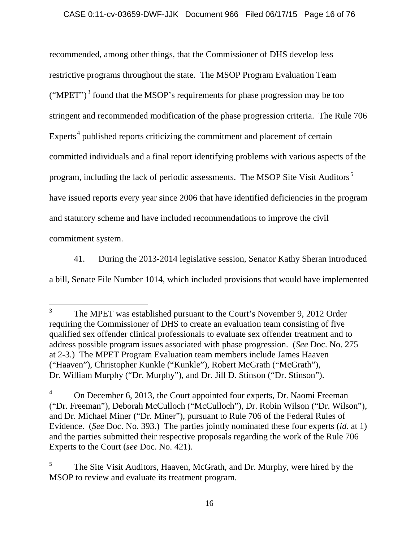recommended, among other things, that the Commissioner of DHS develop less restrictive programs throughout the state. The MSOP Program Evaluation Team  $("MPET")^3$  $("MPET")^3$  found that the MSOP's requirements for phase progression may be too stringent and recommended modification of the phase progression criteria. The Rule 706 Experts<sup>[4](#page-15-1)</sup> published reports criticizing the commitment and placement of certain committed individuals and a final report identifying problems with various aspects of the program, including the lack of periodic assessments. The MSOP Site Visit Auditors<sup>[5](#page-15-2)</sup> have issued reports every year since 2006 that have identified deficiencies in the program and statutory scheme and have included recommendations to improve the civil commitment system.

41. During the 2013-2014 legislative session, Senator Kathy Sheran introduced a bill, Senate File Number 1014, which included provisions that would have implemented

<span id="page-15-0"></span><sup>&</sup>lt;sup>3</sup> The MPET was established pursuant to the Court's November 9, 2012 Order requiring the Commissioner of DHS to create an evaluation team consisting of five qualified sex offender clinical professionals to evaluate sex offender treatment and to address possible program issues associated with phase progression. (*See* Doc. No. 275 at 2-3.) The MPET Program Evaluation team members include James Haaven ("Haaven"), Christopher Kunkle ("Kunkle"), Robert McGrath ("McGrath"), Dr. William Murphy ("Dr. Murphy"), and Dr. Jill D. Stinson ("Dr. Stinson").

<span id="page-15-1"></span><sup>&</sup>lt;sup>4</sup> On December 6, 2013, the Court appointed four experts, Dr. Naomi Freeman ("Dr. Freeman"), Deborah McCulloch ("McCulloch"), Dr. Robin Wilson ("Dr. Wilson"), and Dr. Michael Miner ("Dr. Miner"), pursuant to Rule 706 of the Federal Rules of Evidence. (*See* Doc. No. 393.) The parties jointly nominated these four experts (*id.* at 1) and the parties submitted their respective proposals regarding the work of the Rule 706 Experts to the Court (*see* Doc. No. 421).

<span id="page-15-2"></span><sup>&</sup>lt;sup>5</sup> The Site Visit Auditors, Haaven, McGrath, and Dr. Murphy, were hired by the MSOP to review and evaluate its treatment program.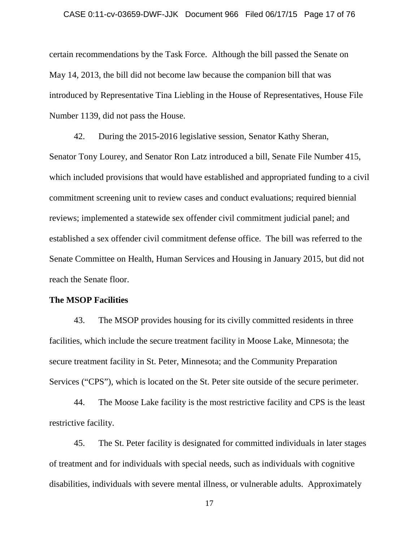### CASE 0:11-cv-03659-DWF-JJK Document 966 Filed 06/17/15 Page 17 of 76

certain recommendations by the Task Force. Although the bill passed the Senate on May 14, 2013, the bill did not become law because the companion bill that was introduced by Representative Tina Liebling in the House of Representatives, House File Number 1139, did not pass the House.

42. During the 2015-2016 legislative session, Senator Kathy Sheran, Senator Tony Lourey, and Senator Ron Latz introduced a bill, Senate File Number 415, which included provisions that would have established and appropriated funding to a civil commitment screening unit to review cases and conduct evaluations; required biennial reviews; implemented a statewide sex offender civil commitment judicial panel; and established a sex offender civil commitment defense office. The bill was referred to the Senate Committee on Health, Human Services and Housing in January 2015, but did not reach the Senate floor.

## **The MSOP Facilities**

43. The MSOP provides housing for its civilly committed residents in three facilities, which include the secure treatment facility in Moose Lake, Minnesota; the secure treatment facility in St. Peter, Minnesota; and the Community Preparation Services ("CPS"), which is located on the St. Peter site outside of the secure perimeter.

44. The Moose Lake facility is the most restrictive facility and CPS is the least restrictive facility.

45. The St. Peter facility is designated for committed individuals in later stages of treatment and for individuals with special needs, such as individuals with cognitive disabilities, individuals with severe mental illness, or vulnerable adults. Approximately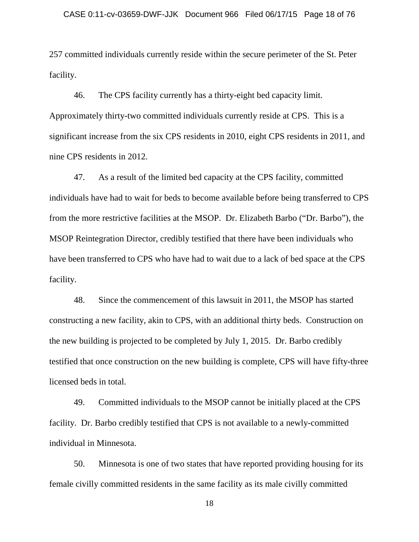257 committed individuals currently reside within the secure perimeter of the St. Peter facility.

46. The CPS facility currently has a thirty-eight bed capacity limit. Approximately thirty-two committed individuals currently reside at CPS. This is a significant increase from the six CPS residents in 2010, eight CPS residents in 2011, and nine CPS residents in 2012.

47. As a result of the limited bed capacity at the CPS facility, committed individuals have had to wait for beds to become available before being transferred to CPS from the more restrictive facilities at the MSOP. Dr. Elizabeth Barbo ("Dr. Barbo"), the MSOP Reintegration Director, credibly testified that there have been individuals who have been transferred to CPS who have had to wait due to a lack of bed space at the CPS facility.

48. Since the commencement of this lawsuit in 2011, the MSOP has started constructing a new facility, akin to CPS, with an additional thirty beds. Construction on the new building is projected to be completed by July 1, 2015. Dr. Barbo credibly testified that once construction on the new building is complete, CPS will have fifty-three licensed beds in total.

49. Committed individuals to the MSOP cannot be initially placed at the CPS facility. Dr. Barbo credibly testified that CPS is not available to a newly-committed individual in Minnesota.

50. Minnesota is one of two states that have reported providing housing for its female civilly committed residents in the same facility as its male civilly committed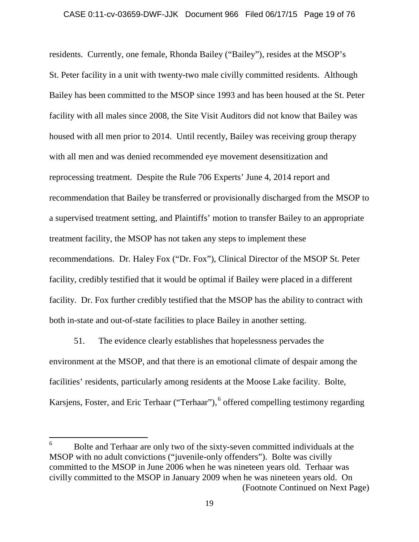residents. Currently, one female, Rhonda Bailey ("Bailey"), resides at the MSOP's St. Peter facility in a unit with twenty-two male civilly committed residents. Although Bailey has been committed to the MSOP since 1993 and has been housed at the St. Peter facility with all males since 2008, the Site Visit Auditors did not know that Bailey was housed with all men prior to 2014. Until recently, Bailey was receiving group therapy with all men and was denied recommended eye movement desensitization and reprocessing treatment. Despite the Rule 706 Experts' June 4, 2014 report and recommendation that Bailey be transferred or provisionally discharged from the MSOP to a supervised treatment setting, and Plaintiffs' motion to transfer Bailey to an appropriate treatment facility, the MSOP has not taken any steps to implement these recommendations. Dr. Haley Fox ("Dr. Fox"), Clinical Director of the MSOP St. Peter facility, credibly testified that it would be optimal if Bailey were placed in a different facility. Dr. Fox further credibly testified that the MSOP has the ability to contract with both in-state and out-of-state facilities to place Bailey in another setting.

51. The evidence clearly establishes that hopelessness pervades the environment at the MSOP, and that there is an emotional climate of despair among the facilities' residents, particularly among residents at the Moose Lake facility. Bolte, Karsjens, Foster, and Eric Terhaar ("Terhaar"), <sup>[6](#page-18-0)</sup> offered compelling testimony regarding

<span id="page-18-0"></span> <sup>6</sup> Bolte and Terhaar are only two of the sixty-seven committed individuals at the MSOP with no adult convictions ("juvenile-only offenders"). Bolte was civilly committed to the MSOP in June 2006 when he was nineteen years old. Terhaar was civilly committed to the MSOP in January 2009 when he was nineteen years old. On (Footnote Continued on Next Page)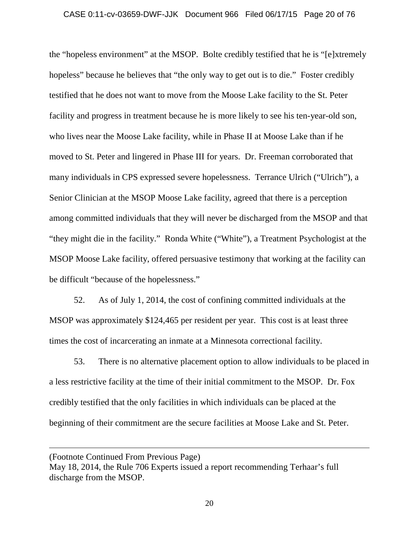## CASE 0:11-cv-03659-DWF-JJK Document 966 Filed 06/17/15 Page 20 of 76

the "hopeless environment" at the MSOP. Bolte credibly testified that he is "[e]xtremely hopeless" because he believes that "the only way to get out is to die." Foster credibly testified that he does not want to move from the Moose Lake facility to the St. Peter facility and progress in treatment because he is more likely to see his ten-year-old son, who lives near the Moose Lake facility, while in Phase II at Moose Lake than if he moved to St. Peter and lingered in Phase III for years. Dr. Freeman corroborated that many individuals in CPS expressed severe hopelessness. Terrance Ulrich ("Ulrich"), a Senior Clinician at the MSOP Moose Lake facility, agreed that there is a perception among committed individuals that they will never be discharged from the MSOP and that "they might die in the facility." Ronda White ("White"), a Treatment Psychologist at the MSOP Moose Lake facility, offered persuasive testimony that working at the facility can be difficult "because of the hopelessness."

52. As of July 1, 2014, the cost of confining committed individuals at the MSOP was approximately \$124,465 per resident per year. This cost is at least three times the cost of incarcerating an inmate at a Minnesota correctional facility.

53. There is no alternative placement option to allow individuals to be placed in a less restrictive facility at the time of their initial commitment to the MSOP. Dr. Fox credibly testified that the only facilities in which individuals can be placed at the beginning of their commitment are the secure facilities at Moose Lake and St. Peter.

 $\overline{a}$ 

<sup>(</sup>Footnote Continued From Previous Page)

May 18, 2014, the Rule 706 Experts issued a report recommending Terhaar's full discharge from the MSOP.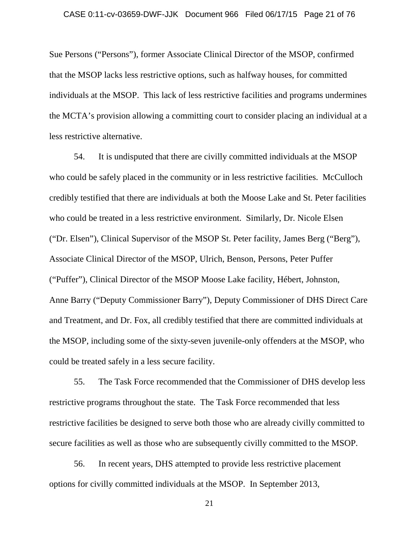Sue Persons ("Persons"), former Associate Clinical Director of the MSOP, confirmed that the MSOP lacks less restrictive options, such as halfway houses, for committed individuals at the MSOP. This lack of less restrictive facilities and programs undermines the MCTA's provision allowing a committing court to consider placing an individual at a less restrictive alternative.

54. It is undisputed that there are civilly committed individuals at the MSOP who could be safely placed in the community or in less restrictive facilities. McCulloch credibly testified that there are individuals at both the Moose Lake and St. Peter facilities who could be treated in a less restrictive environment. Similarly, Dr. Nicole Elsen ("Dr. Elsen"), Clinical Supervisor of the MSOP St. Peter facility, James Berg ("Berg"), Associate Clinical Director of the MSOP, Ulrich, Benson, Persons, Peter Puffer ("Puffer"), Clinical Director of the MSOP Moose Lake facility, Hébert, Johnston, Anne Barry ("Deputy Commissioner Barry"), Deputy Commissioner of DHS Direct Care and Treatment, and Dr. Fox, all credibly testified that there are committed individuals at the MSOP, including some of the sixty-seven juvenile-only offenders at the MSOP, who could be treated safely in a less secure facility.

55. The Task Force recommended that the Commissioner of DHS develop less restrictive programs throughout the state. The Task Force recommended that less restrictive facilities be designed to serve both those who are already civilly committed to secure facilities as well as those who are subsequently civilly committed to the MSOP.

56. In recent years, DHS attempted to provide less restrictive placement options for civilly committed individuals at the MSOP. In September 2013,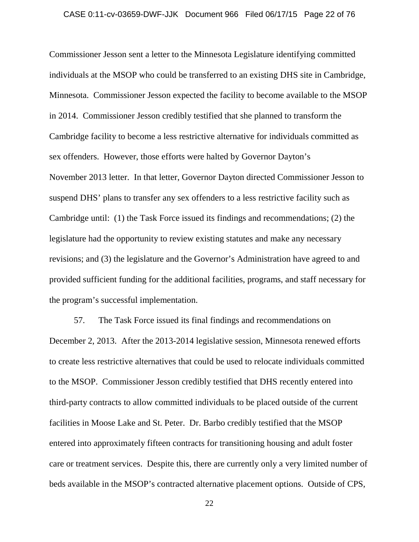## CASE 0:11-cv-03659-DWF-JJK Document 966 Filed 06/17/15 Page 22 of 76

Commissioner Jesson sent a letter to the Minnesota Legislature identifying committed individuals at the MSOP who could be transferred to an existing DHS site in Cambridge, Minnesota. Commissioner Jesson expected the facility to become available to the MSOP in 2014. Commissioner Jesson credibly testified that she planned to transform the Cambridge facility to become a less restrictive alternative for individuals committed as sex offenders. However, those efforts were halted by Governor Dayton's November 2013 letter. In that letter, Governor Dayton directed Commissioner Jesson to suspend DHS' plans to transfer any sex offenders to a less restrictive facility such as Cambridge until: (1) the Task Force issued its findings and recommendations; (2) the legislature had the opportunity to review existing statutes and make any necessary revisions; and (3) the legislature and the Governor's Administration have agreed to and provided sufficient funding for the additional facilities, programs, and staff necessary for the program's successful implementation.

57. The Task Force issued its final findings and recommendations on December 2, 2013. After the 2013-2014 legislative session, Minnesota renewed efforts to create less restrictive alternatives that could be used to relocate individuals committed to the MSOP. Commissioner Jesson credibly testified that DHS recently entered into third-party contracts to allow committed individuals to be placed outside of the current facilities in Moose Lake and St. Peter. Dr. Barbo credibly testified that the MSOP entered into approximately fifteen contracts for transitioning housing and adult foster care or treatment services. Despite this, there are currently only a very limited number of beds available in the MSOP's contracted alternative placement options. Outside of CPS,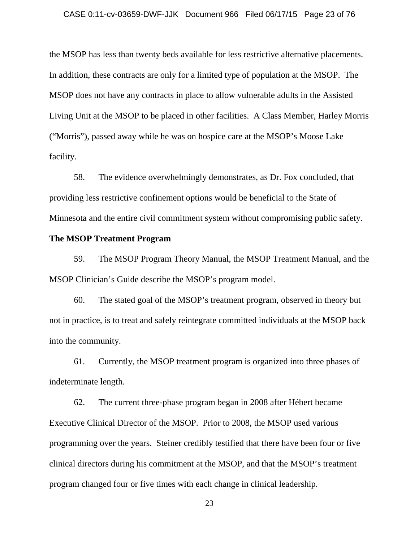### CASE 0:11-cv-03659-DWF-JJK Document 966 Filed 06/17/15 Page 23 of 76

the MSOP has less than twenty beds available for less restrictive alternative placements. In addition, these contracts are only for a limited type of population at the MSOP. The MSOP does not have any contracts in place to allow vulnerable adults in the Assisted Living Unit at the MSOP to be placed in other facilities. A Class Member, Harley Morris ("Morris"), passed away while he was on hospice care at the MSOP's Moose Lake facility.

58. The evidence overwhelmingly demonstrates, as Dr. Fox concluded, that providing less restrictive confinement options would be beneficial to the State of Minnesota and the entire civil commitment system without compromising public safety.

## **The MSOP Treatment Program**

59. The MSOP Program Theory Manual, the MSOP Treatment Manual, and the MSOP Clinician's Guide describe the MSOP's program model.

60. The stated goal of the MSOP's treatment program, observed in theory but not in practice, is to treat and safely reintegrate committed individuals at the MSOP back into the community.

61. Currently, the MSOP treatment program is organized into three phases of indeterminate length.

62. The current three-phase program began in 2008 after Hébert became Executive Clinical Director of the MSOP. Prior to 2008, the MSOP used various programming over the years. Steiner credibly testified that there have been four or five clinical directors during his commitment at the MSOP, and that the MSOP's treatment program changed four or five times with each change in clinical leadership.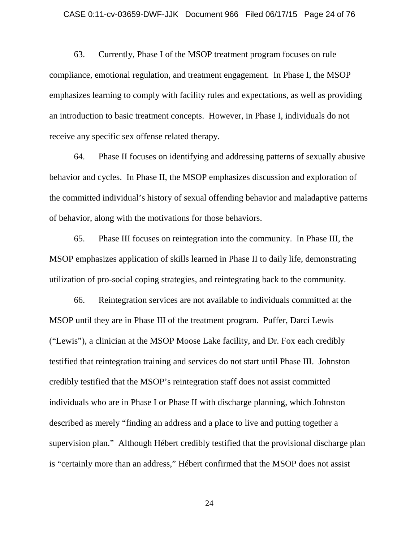#### CASE 0:11-cv-03659-DWF-JJK Document 966 Filed 06/17/15 Page 24 of 76

63. Currently, Phase I of the MSOP treatment program focuses on rule compliance, emotional regulation, and treatment engagement. In Phase I, the MSOP emphasizes learning to comply with facility rules and expectations, as well as providing an introduction to basic treatment concepts. However, in Phase I, individuals do not receive any specific sex offense related therapy.

64. Phase II focuses on identifying and addressing patterns of sexually abusive behavior and cycles. In Phase II, the MSOP emphasizes discussion and exploration of the committed individual's history of sexual offending behavior and maladaptive patterns of behavior, along with the motivations for those behaviors.

65. Phase III focuses on reintegration into the community. In Phase III, the MSOP emphasizes application of skills learned in Phase II to daily life, demonstrating utilization of pro-social coping strategies, and reintegrating back to the community.

66. Reintegration services are not available to individuals committed at the MSOP until they are in Phase III of the treatment program. Puffer, Darci Lewis ("Lewis"), a clinician at the MSOP Moose Lake facility, and Dr. Fox each credibly testified that reintegration training and services do not start until Phase III. Johnston credibly testified that the MSOP's reintegration staff does not assist committed individuals who are in Phase I or Phase II with discharge planning, which Johnston described as merely "finding an address and a place to live and putting together a supervision plan." Although Hébert credibly testified that the provisional discharge plan is "certainly more than an address," Hébert confirmed that the MSOP does not assist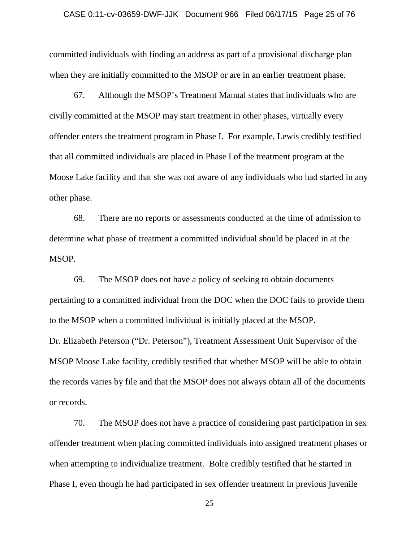### CASE 0:11-cv-03659-DWF-JJK Document 966 Filed 06/17/15 Page 25 of 76

committed individuals with finding an address as part of a provisional discharge plan when they are initially committed to the MSOP or are in an earlier treatment phase.

67. Although the MSOP's Treatment Manual states that individuals who are civilly committed at the MSOP may start treatment in other phases, virtually every offender enters the treatment program in Phase I. For example, Lewis credibly testified that all committed individuals are placed in Phase I of the treatment program at the Moose Lake facility and that she was not aware of any individuals who had started in any other phase.

68. There are no reports or assessments conducted at the time of admission to determine what phase of treatment a committed individual should be placed in at the MSOP.

69. The MSOP does not have a policy of seeking to obtain documents pertaining to a committed individual from the DOC when the DOC fails to provide them to the MSOP when a committed individual is initially placed at the MSOP. Dr. Elizabeth Peterson ("Dr. Peterson"), Treatment Assessment Unit Supervisor of the MSOP Moose Lake facility, credibly testified that whether MSOP will be able to obtain the records varies by file and that the MSOP does not always obtain all of the documents or records.

70. The MSOP does not have a practice of considering past participation in sex offender treatment when placing committed individuals into assigned treatment phases or when attempting to individualize treatment. Bolte credibly testified that he started in Phase I, even though he had participated in sex offender treatment in previous juvenile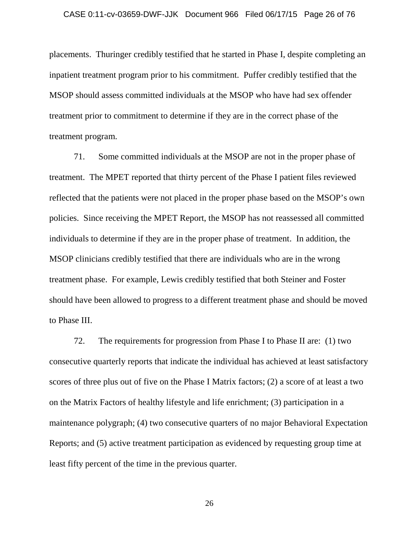placements. Thuringer credibly testified that he started in Phase I, despite completing an inpatient treatment program prior to his commitment. Puffer credibly testified that the MSOP should assess committed individuals at the MSOP who have had sex offender treatment prior to commitment to determine if they are in the correct phase of the treatment program.

71. Some committed individuals at the MSOP are not in the proper phase of treatment. The MPET reported that thirty percent of the Phase I patient files reviewed reflected that the patients were not placed in the proper phase based on the MSOP's own policies. Since receiving the MPET Report, the MSOP has not reassessed all committed individuals to determine if they are in the proper phase of treatment. In addition, the MSOP clinicians credibly testified that there are individuals who are in the wrong treatment phase. For example, Lewis credibly testified that both Steiner and Foster should have been allowed to progress to a different treatment phase and should be moved to Phase III.

72. The requirements for progression from Phase I to Phase II are: (1) two consecutive quarterly reports that indicate the individual has achieved at least satisfactory scores of three plus out of five on the Phase I Matrix factors; (2) a score of at least a two on the Matrix Factors of healthy lifestyle and life enrichment; (3) participation in a maintenance polygraph; (4) two consecutive quarters of no major Behavioral Expectation Reports; and (5) active treatment participation as evidenced by requesting group time at least fifty percent of the time in the previous quarter.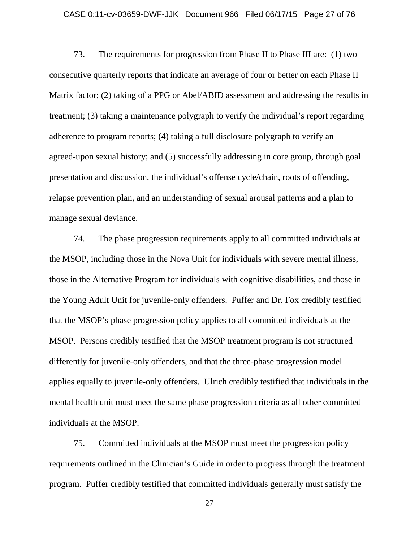## CASE 0:11-cv-03659-DWF-JJK Document 966 Filed 06/17/15 Page 27 of 76

73. The requirements for progression from Phase II to Phase III are: (1) two consecutive quarterly reports that indicate an average of four or better on each Phase II Matrix factor; (2) taking of a PPG or Abel/ABID assessment and addressing the results in treatment; (3) taking a maintenance polygraph to verify the individual's report regarding adherence to program reports; (4) taking a full disclosure polygraph to verify an agreed-upon sexual history; and (5) successfully addressing in core group, through goal presentation and discussion, the individual's offense cycle/chain, roots of offending, relapse prevention plan, and an understanding of sexual arousal patterns and a plan to manage sexual deviance.

74. The phase progression requirements apply to all committed individuals at the MSOP, including those in the Nova Unit for individuals with severe mental illness, those in the Alternative Program for individuals with cognitive disabilities, and those in the Young Adult Unit for juvenile-only offenders. Puffer and Dr. Fox credibly testified that the MSOP's phase progression policy applies to all committed individuals at the MSOP. Persons credibly testified that the MSOP treatment program is not structured differently for juvenile-only offenders, and that the three-phase progression model applies equally to juvenile-only offenders. Ulrich credibly testified that individuals in the mental health unit must meet the same phase progression criteria as all other committed individuals at the MSOP.

75. Committed individuals at the MSOP must meet the progression policy requirements outlined in the Clinician's Guide in order to progress through the treatment program. Puffer credibly testified that committed individuals generally must satisfy the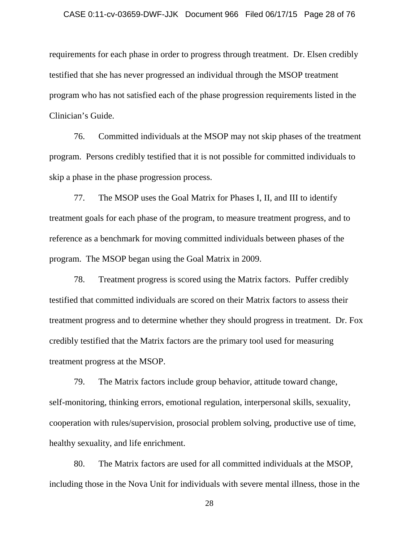### CASE 0:11-cv-03659-DWF-JJK Document 966 Filed 06/17/15 Page 28 of 76

requirements for each phase in order to progress through treatment. Dr. Elsen credibly testified that she has never progressed an individual through the MSOP treatment program who has not satisfied each of the phase progression requirements listed in the Clinician's Guide.

76. Committed individuals at the MSOP may not skip phases of the treatment program. Persons credibly testified that it is not possible for committed individuals to skip a phase in the phase progression process.

77. The MSOP uses the Goal Matrix for Phases I, II, and III to identify treatment goals for each phase of the program, to measure treatment progress, and to reference as a benchmark for moving committed individuals between phases of the program. The MSOP began using the Goal Matrix in 2009.

78. Treatment progress is scored using the Matrix factors. Puffer credibly testified that committed individuals are scored on their Matrix factors to assess their treatment progress and to determine whether they should progress in treatment. Dr. Fox credibly testified that the Matrix factors are the primary tool used for measuring treatment progress at the MSOP.

79. The Matrix factors include group behavior, attitude toward change, self-monitoring, thinking errors, emotional regulation, interpersonal skills, sexuality, cooperation with rules/supervision, prosocial problem solving, productive use of time, healthy sexuality, and life enrichment.

80. The Matrix factors are used for all committed individuals at the MSOP, including those in the Nova Unit for individuals with severe mental illness, those in the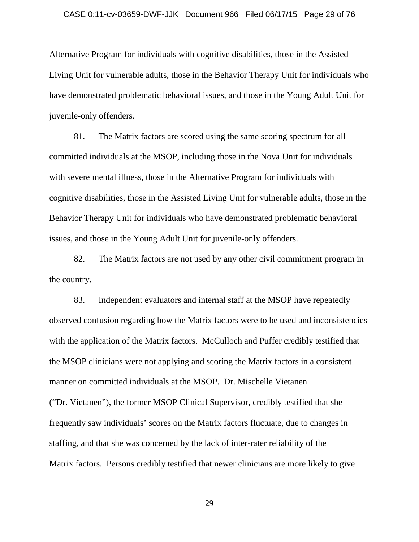### CASE 0:11-cv-03659-DWF-JJK Document 966 Filed 06/17/15 Page 29 of 76

Alternative Program for individuals with cognitive disabilities, those in the Assisted Living Unit for vulnerable adults, those in the Behavior Therapy Unit for individuals who have demonstrated problematic behavioral issues, and those in the Young Adult Unit for juvenile-only offenders.

81. The Matrix factors are scored using the same scoring spectrum for all committed individuals at the MSOP, including those in the Nova Unit for individuals with severe mental illness, those in the Alternative Program for individuals with cognitive disabilities, those in the Assisted Living Unit for vulnerable adults, those in the Behavior Therapy Unit for individuals who have demonstrated problematic behavioral issues, and those in the Young Adult Unit for juvenile-only offenders.

82. The Matrix factors are not used by any other civil commitment program in the country.

83. Independent evaluators and internal staff at the MSOP have repeatedly observed confusion regarding how the Matrix factors were to be used and inconsistencies with the application of the Matrix factors. McCulloch and Puffer credibly testified that the MSOP clinicians were not applying and scoring the Matrix factors in a consistent manner on committed individuals at the MSOP. Dr. Mischelle Vietanen ("Dr. Vietanen"), the former MSOP Clinical Supervisor, credibly testified that she frequently saw individuals' scores on the Matrix factors fluctuate, due to changes in staffing, and that she was concerned by the lack of inter-rater reliability of the Matrix factors. Persons credibly testified that newer clinicians are more likely to give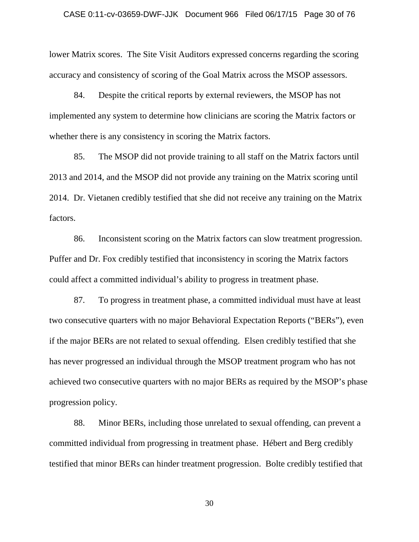#### CASE 0:11-cv-03659-DWF-JJK Document 966 Filed 06/17/15 Page 30 of 76

lower Matrix scores. The Site Visit Auditors expressed concerns regarding the scoring accuracy and consistency of scoring of the Goal Matrix across the MSOP assessors.

84. Despite the critical reports by external reviewers, the MSOP has not implemented any system to determine how clinicians are scoring the Matrix factors or whether there is any consistency in scoring the Matrix factors.

85. The MSOP did not provide training to all staff on the Matrix factors until 2013 and 2014, and the MSOP did not provide any training on the Matrix scoring until 2014. Dr. Vietanen credibly testified that she did not receive any training on the Matrix factors.

86. Inconsistent scoring on the Matrix factors can slow treatment progression. Puffer and Dr. Fox credibly testified that inconsistency in scoring the Matrix factors could affect a committed individual's ability to progress in treatment phase.

87. To progress in treatment phase, a committed individual must have at least two consecutive quarters with no major Behavioral Expectation Reports ("BERs"), even if the major BERs are not related to sexual offending. Elsen credibly testified that she has never progressed an individual through the MSOP treatment program who has not achieved two consecutive quarters with no major BERs as required by the MSOP's phase progression policy.

88. Minor BERs, including those unrelated to sexual offending, can prevent a committed individual from progressing in treatment phase. Hébert and Berg credibly testified that minor BERs can hinder treatment progression. Bolte credibly testified that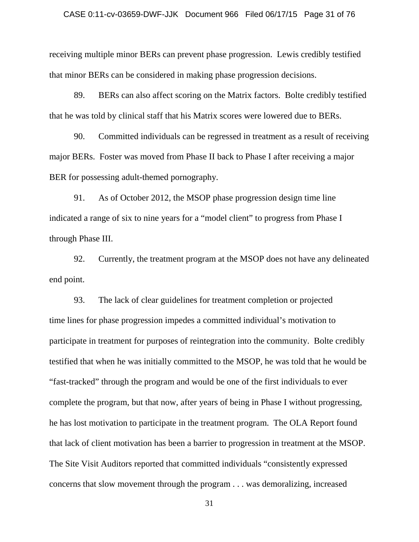### CASE 0:11-cv-03659-DWF-JJK Document 966 Filed 06/17/15 Page 31 of 76

receiving multiple minor BERs can prevent phase progression. Lewis credibly testified that minor BERs can be considered in making phase progression decisions.

89. BERs can also affect scoring on the Matrix factors. Bolte credibly testified that he was told by clinical staff that his Matrix scores were lowered due to BERs.

90. Committed individuals can be regressed in treatment as a result of receiving major BERs. Foster was moved from Phase II back to Phase I after receiving a major BER for possessing adult-themed pornography.

91. As of October 2012, the MSOP phase progression design time line indicated a range of six to nine years for a "model client" to progress from Phase I through Phase III.

92. Currently, the treatment program at the MSOP does not have any delineated end point.

93. The lack of clear guidelines for treatment completion or projected time lines for phase progression impedes a committed individual's motivation to participate in treatment for purposes of reintegration into the community. Bolte credibly testified that when he was initially committed to the MSOP, he was told that he would be "fast-tracked" through the program and would be one of the first individuals to ever complete the program, but that now, after years of being in Phase I without progressing, he has lost motivation to participate in the treatment program. The OLA Report found that lack of client motivation has been a barrier to progression in treatment at the MSOP. The Site Visit Auditors reported that committed individuals "consistently expressed concerns that slow movement through the program . . . was demoralizing, increased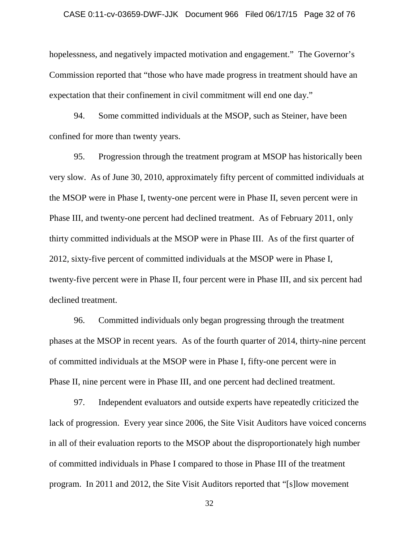## CASE 0:11-cv-03659-DWF-JJK Document 966 Filed 06/17/15 Page 32 of 76

hopelessness, and negatively impacted motivation and engagement." The Governor's Commission reported that "those who have made progress in treatment should have an expectation that their confinement in civil commitment will end one day."

94. Some committed individuals at the MSOP, such as Steiner, have been confined for more than twenty years.

95. Progression through the treatment program at MSOP has historically been very slow. As of June 30, 2010, approximately fifty percent of committed individuals at the MSOP were in Phase I, twenty-one percent were in Phase II, seven percent were in Phase III, and twenty-one percent had declined treatment. As of February 2011, only thirty committed individuals at the MSOP were in Phase III. As of the first quarter of 2012, sixty-five percent of committed individuals at the MSOP were in Phase I, twenty-five percent were in Phase II, four percent were in Phase III, and six percent had declined treatment.

96. Committed individuals only began progressing through the treatment phases at the MSOP in recent years. As of the fourth quarter of 2014, thirty-nine percent of committed individuals at the MSOP were in Phase I, fifty-one percent were in Phase II, nine percent were in Phase III, and one percent had declined treatment.

97. Independent evaluators and outside experts have repeatedly criticized the lack of progression. Every year since 2006, the Site Visit Auditors have voiced concerns in all of their evaluation reports to the MSOP about the disproportionately high number of committed individuals in Phase I compared to those in Phase III of the treatment program. In 2011 and 2012, the Site Visit Auditors reported that "[s]low movement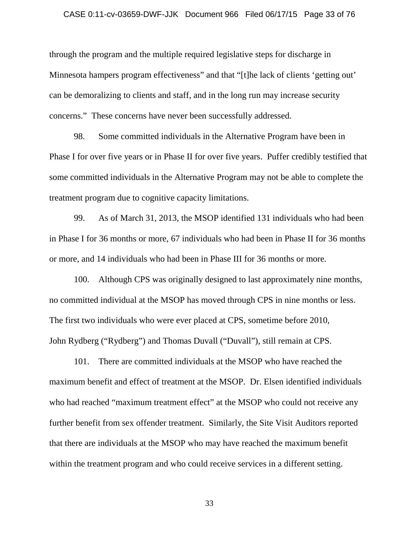### CASE 0:11-cv-03659-DWF-JJK Document 966 Filed 06/17/15 Page 33 of 76

through the program and the multiple required legislative steps for discharge in Minnesota hampers program effectiveness" and that "[t]he lack of clients 'getting out' can be demoralizing to clients and staff, and in the long run may increase security concerns." These concerns have never been successfully addressed.

98. Some committed individuals in the Alternative Program have been in Phase I for over five years or in Phase II for over five years. Puffer credibly testified that some committed individuals in the Alternative Program may not be able to complete the treatment program due to cognitive capacity limitations.

99. As of March 31, 2013, the MSOP identified 131 individuals who had been in Phase I for 36 months or more, 67 individuals who had been in Phase II for 36 months or more, and 14 individuals who had been in Phase III for 36 months or more.

100. Although CPS was originally designed to last approximately nine months, no committed individual at the MSOP has moved through CPS in nine months or less. The first two individuals who were ever placed at CPS, sometime before 2010, John Rydberg ("Rydberg") and Thomas Duvall ("Duvall"), still remain at CPS.

101. There are committed individuals at the MSOP who have reached the maximum benefit and effect of treatment at the MSOP. Dr. Elsen identified individuals who had reached "maximum treatment effect" at the MSOP who could not receive any further benefit from sex offender treatment. Similarly, the Site Visit Auditors reported that there are individuals at the MSOP who may have reached the maximum benefit within the treatment program and who could receive services in a different setting.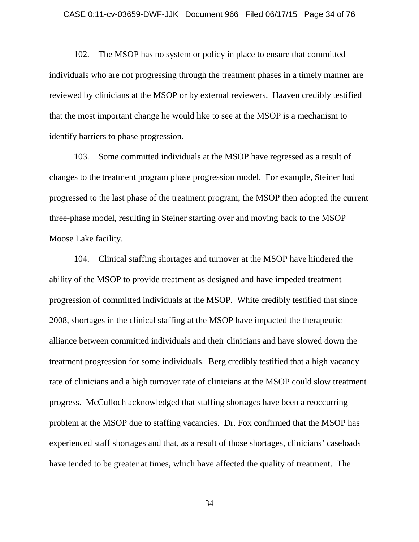### CASE 0:11-cv-03659-DWF-JJK Document 966 Filed 06/17/15 Page 34 of 76

102. The MSOP has no system or policy in place to ensure that committed individuals who are not progressing through the treatment phases in a timely manner are reviewed by clinicians at the MSOP or by external reviewers. Haaven credibly testified that the most important change he would like to see at the MSOP is a mechanism to identify barriers to phase progression.

103. Some committed individuals at the MSOP have regressed as a result of changes to the treatment program phase progression model. For example, Steiner had progressed to the last phase of the treatment program; the MSOP then adopted the current three-phase model, resulting in Steiner starting over and moving back to the MSOP Moose Lake facility.

104. Clinical staffing shortages and turnover at the MSOP have hindered the ability of the MSOP to provide treatment as designed and have impeded treatment progression of committed individuals at the MSOP. White credibly testified that since 2008, shortages in the clinical staffing at the MSOP have impacted the therapeutic alliance between committed individuals and their clinicians and have slowed down the treatment progression for some individuals. Berg credibly testified that a high vacancy rate of clinicians and a high turnover rate of clinicians at the MSOP could slow treatment progress. McCulloch acknowledged that staffing shortages have been a reoccurring problem at the MSOP due to staffing vacancies. Dr. Fox confirmed that the MSOP has experienced staff shortages and that, as a result of those shortages, clinicians' caseloads have tended to be greater at times, which have affected the quality of treatment. The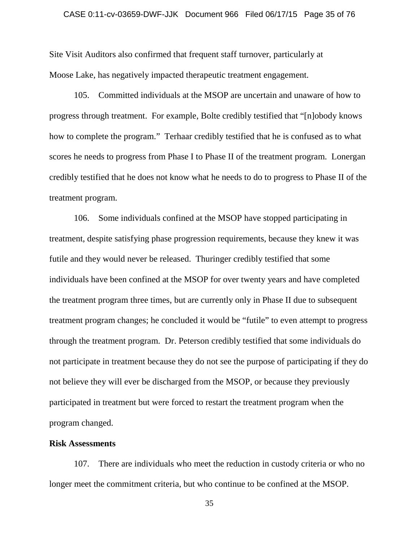### CASE 0:11-cv-03659-DWF-JJK Document 966 Filed 06/17/15 Page 35 of 76

Site Visit Auditors also confirmed that frequent staff turnover, particularly at Moose Lake, has negatively impacted therapeutic treatment engagement.

105. Committed individuals at the MSOP are uncertain and unaware of how to progress through treatment. For example, Bolte credibly testified that "[n]obody knows how to complete the program." Terhaar credibly testified that he is confused as to what scores he needs to progress from Phase I to Phase II of the treatment program. Lonergan credibly testified that he does not know what he needs to do to progress to Phase II of the treatment program.

106. Some individuals confined at the MSOP have stopped participating in treatment, despite satisfying phase progression requirements, because they knew it was futile and they would never be released. Thuringer credibly testified that some individuals have been confined at the MSOP for over twenty years and have completed the treatment program three times, but are currently only in Phase II due to subsequent treatment program changes; he concluded it would be "futile" to even attempt to progress through the treatment program. Dr. Peterson credibly testified that some individuals do not participate in treatment because they do not see the purpose of participating if they do not believe they will ever be discharged from the MSOP, or because they previously participated in treatment but were forced to restart the treatment program when the program changed.

## **Risk Assessments**

107. There are individuals who meet the reduction in custody criteria or who no longer meet the commitment criteria, but who continue to be confined at the MSOP.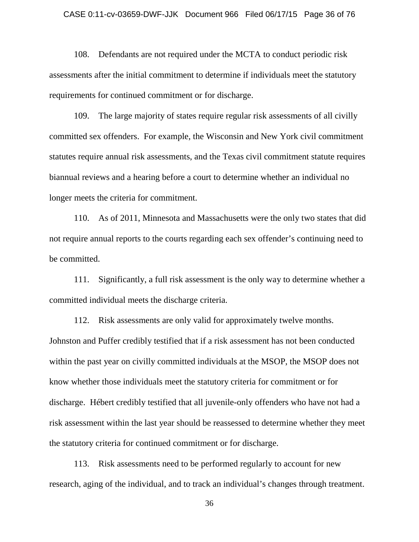### CASE 0:11-cv-03659-DWF-JJK Document 966 Filed 06/17/15 Page 36 of 76

108. Defendants are not required under the MCTA to conduct periodic risk assessments after the initial commitment to determine if individuals meet the statutory requirements for continued commitment or for discharge.

109. The large majority of states require regular risk assessments of all civilly committed sex offenders. For example, the Wisconsin and New York civil commitment statutes require annual risk assessments, and the Texas civil commitment statute requires biannual reviews and a hearing before a court to determine whether an individual no longer meets the criteria for commitment.

110. As of 2011, Minnesota and Massachusetts were the only two states that did not require annual reports to the courts regarding each sex offender's continuing need to be committed.

111. Significantly, a full risk assessment is the only way to determine whether a committed individual meets the discharge criteria.

112. Risk assessments are only valid for approximately twelve months. Johnston and Puffer credibly testified that if a risk assessment has not been conducted within the past year on civilly committed individuals at the MSOP, the MSOP does not know whether those individuals meet the statutory criteria for commitment or for discharge. Hébert credibly testified that all juvenile-only offenders who have not had a risk assessment within the last year should be reassessed to determine whether they meet the statutory criteria for continued commitment or for discharge.

113. Risk assessments need to be performed regularly to account for new research, aging of the individual, and to track an individual's changes through treatment.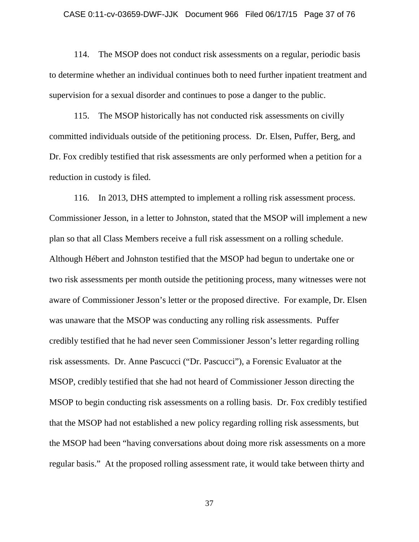#### CASE 0:11-cv-03659-DWF-JJK Document 966 Filed 06/17/15 Page 37 of 76

114. The MSOP does not conduct risk assessments on a regular, periodic basis to determine whether an individual continues both to need further inpatient treatment and supervision for a sexual disorder and continues to pose a danger to the public.

115. The MSOP historically has not conducted risk assessments on civilly committed individuals outside of the petitioning process. Dr. Elsen, Puffer, Berg, and Dr. Fox credibly testified that risk assessments are only performed when a petition for a reduction in custody is filed.

116. In 2013, DHS attempted to implement a rolling risk assessment process. Commissioner Jesson, in a letter to Johnston, stated that the MSOP will implement a new plan so that all Class Members receive a full risk assessment on a rolling schedule. Although Hébert and Johnston testified that the MSOP had begun to undertake one or two risk assessments per month outside the petitioning process, many witnesses were not aware of Commissioner Jesson's letter or the proposed directive. For example, Dr. Elsen was unaware that the MSOP was conducting any rolling risk assessments. Puffer credibly testified that he had never seen Commissioner Jesson's letter regarding rolling risk assessments. Dr. Anne Pascucci ("Dr. Pascucci"), a Forensic Evaluator at the MSOP, credibly testified that she had not heard of Commissioner Jesson directing the MSOP to begin conducting risk assessments on a rolling basis. Dr. Fox credibly testified that the MSOP had not established a new policy regarding rolling risk assessments, but the MSOP had been "having conversations about doing more risk assessments on a more regular basis." At the proposed rolling assessment rate, it would take between thirty and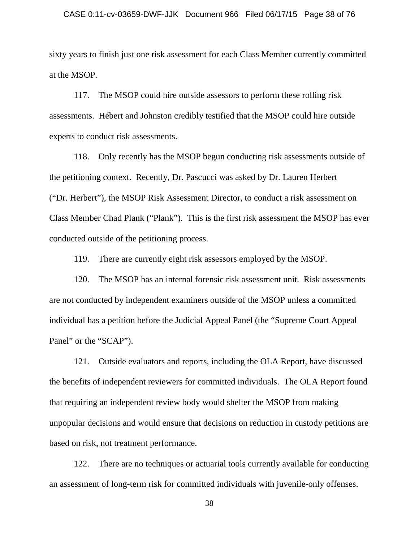#### CASE 0:11-cv-03659-DWF-JJK Document 966 Filed 06/17/15 Page 38 of 76

sixty years to finish just one risk assessment for each Class Member currently committed at the MSOP.

117. The MSOP could hire outside assessors to perform these rolling risk assessments. Hébert and Johnston credibly testified that the MSOP could hire outside experts to conduct risk assessments.

118. Only recently has the MSOP begun conducting risk assessments outside of the petitioning context. Recently, Dr. Pascucci was asked by Dr. Lauren Herbert ("Dr. Herbert"), the MSOP Risk Assessment Director, to conduct a risk assessment on Class Member Chad Plank ("Plank"). This is the first risk assessment the MSOP has ever conducted outside of the petitioning process.

119. There are currently eight risk assessors employed by the MSOP.

120. The MSOP has an internal forensic risk assessment unit. Risk assessments are not conducted by independent examiners outside of the MSOP unless a committed individual has a petition before the Judicial Appeal Panel (the "Supreme Court Appeal Panel" or the "SCAP").

121. Outside evaluators and reports, including the OLA Report, have discussed the benefits of independent reviewers for committed individuals. The OLA Report found that requiring an independent review body would shelter the MSOP from making unpopular decisions and would ensure that decisions on reduction in custody petitions are based on risk, not treatment performance.

122. There are no techniques or actuarial tools currently available for conducting an assessment of long-term risk for committed individuals with juvenile-only offenses.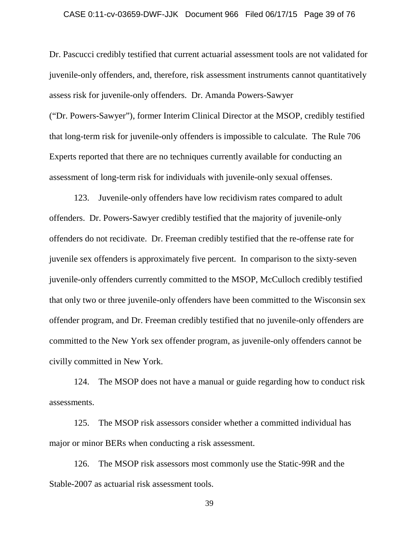## CASE 0:11-cv-03659-DWF-JJK Document 966 Filed 06/17/15 Page 39 of 76

Dr. Pascucci credibly testified that current actuarial assessment tools are not validated for juvenile-only offenders, and, therefore, risk assessment instruments cannot quantitatively assess risk for juvenile-only offenders. Dr. Amanda Powers-Sawyer ("Dr. Powers-Sawyer"), former Interim Clinical Director at the MSOP, credibly testified that long-term risk for juvenile-only offenders is impossible to calculate. The Rule 706 Experts reported that there are no techniques currently available for conducting an assessment of long-term risk for individuals with juvenile-only sexual offenses.

123. Juvenile-only offenders have low recidivism rates compared to adult offenders. Dr. Powers-Sawyer credibly testified that the majority of juvenile-only offenders do not recidivate. Dr. Freeman credibly testified that the re-offense rate for juvenile sex offenders is approximately five percent. In comparison to the sixty-seven juvenile-only offenders currently committed to the MSOP, McCulloch credibly testified that only two or three juvenile-only offenders have been committed to the Wisconsin sex offender program, and Dr. Freeman credibly testified that no juvenile-only offenders are committed to the New York sex offender program, as juvenile-only offenders cannot be civilly committed in New York.

124. The MSOP does not have a manual or guide regarding how to conduct risk assessments.

125. The MSOP risk assessors consider whether a committed individual has major or minor BERs when conducting a risk assessment.

126. The MSOP risk assessors most commonly use the Static-99R and the Stable-2007 as actuarial risk assessment tools.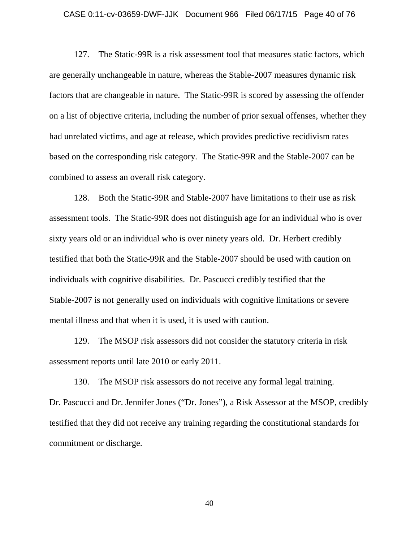#### CASE 0:11-cv-03659-DWF-JJK Document 966 Filed 06/17/15 Page 40 of 76

127. The Static-99R is a risk assessment tool that measures static factors, which are generally unchangeable in nature, whereas the Stable-2007 measures dynamic risk factors that are changeable in nature. The Static-99R is scored by assessing the offender on a list of objective criteria, including the number of prior sexual offenses, whether they had unrelated victims, and age at release, which provides predictive recidivism rates based on the corresponding risk category. The Static-99R and the Stable-2007 can be combined to assess an overall risk category.

128. Both the Static-99R and Stable-2007 have limitations to their use as risk assessment tools. The Static-99R does not distinguish age for an individual who is over sixty years old or an individual who is over ninety years old. Dr. Herbert credibly testified that both the Static-99R and the Stable-2007 should be used with caution on individuals with cognitive disabilities. Dr. Pascucci credibly testified that the Stable-2007 is not generally used on individuals with cognitive limitations or severe mental illness and that when it is used, it is used with caution.

129. The MSOP risk assessors did not consider the statutory criteria in risk assessment reports until late 2010 or early 2011.

130. The MSOP risk assessors do not receive any formal legal training. Dr. Pascucci and Dr. Jennifer Jones ("Dr. Jones"), a Risk Assessor at the MSOP, credibly testified that they did not receive any training regarding the constitutional standards for commitment or discharge.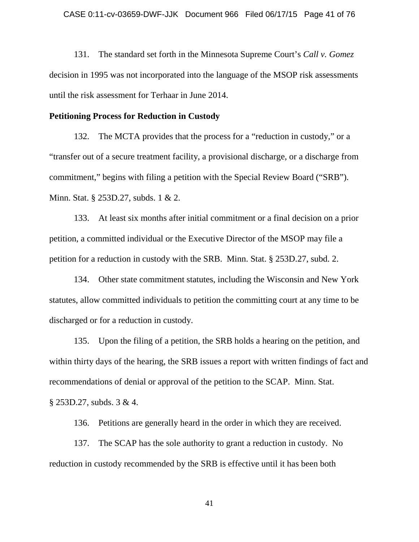131. The standard set forth in the Minnesota Supreme Court's *Call v. Gomez* decision in 1995 was not incorporated into the language of the MSOP risk assessments until the risk assessment for Terhaar in June 2014.

## **Petitioning Process for Reduction in Custody**

132. The MCTA provides that the process for a "reduction in custody," or a "transfer out of a secure treatment facility, a provisional discharge, or a discharge from commitment," begins with filing a petition with the Special Review Board ("SRB"). Minn. Stat. § 253D.27, subds. 1 & 2.

133. At least six months after initial commitment or a final decision on a prior petition, a committed individual or the Executive Director of the MSOP may file a petition for a reduction in custody with the SRB. Minn. Stat. § 253D.27, subd. 2.

134. Other state commitment statutes, including the Wisconsin and New York statutes, allow committed individuals to petition the committing court at any time to be discharged or for a reduction in custody.

135. Upon the filing of a petition, the SRB holds a hearing on the petition, and within thirty days of the hearing, the SRB issues a report with written findings of fact and recommendations of denial or approval of the petition to the SCAP. Minn. Stat. § 253D.27, subds. 3 & 4.

136. Petitions are generally heard in the order in which they are received.

137. The SCAP has the sole authority to grant a reduction in custody. No reduction in custody recommended by the SRB is effective until it has been both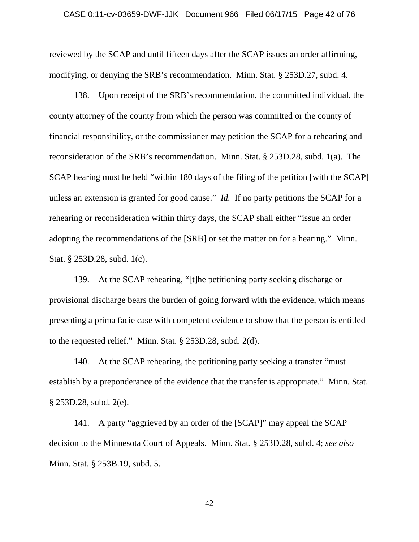### CASE 0:11-cv-03659-DWF-JJK Document 966 Filed 06/17/15 Page 42 of 76

reviewed by the SCAP and until fifteen days after the SCAP issues an order affirming, modifying, or denying the SRB's recommendation. Minn. Stat. § 253D.27, subd. 4.

138. Upon receipt of the SRB's recommendation, the committed individual, the county attorney of the county from which the person was committed or the county of financial responsibility, or the commissioner may petition the SCAP for a rehearing and reconsideration of the SRB's recommendation. Minn. Stat. § 253D.28, subd. 1(a). The SCAP hearing must be held "within 180 days of the filing of the petition [with the SCAP] unless an extension is granted for good cause." *Id.* If no party petitions the SCAP for a rehearing or reconsideration within thirty days, the SCAP shall either "issue an order adopting the recommendations of the [SRB] or set the matter on for a hearing." Minn. Stat. § 253D.28, subd. 1(c).

139. At the SCAP rehearing, "[t]he petitioning party seeking discharge or provisional discharge bears the burden of going forward with the evidence, which means presenting a prima facie case with competent evidence to show that the person is entitled to the requested relief." Minn. Stat. § 253D.28, subd. 2(d).

140. At the SCAP rehearing, the petitioning party seeking a transfer "must establish by a preponderance of the evidence that the transfer is appropriate." Minn. Stat. § 253D.28, subd. 2(e).

141. A party "aggrieved by an order of the [SCAP]" may appeal the SCAP decision to the Minnesota Court of Appeals. Minn. Stat. § 253D.28, subd. 4; *see also*  Minn. Stat. § 253B.19, subd. 5.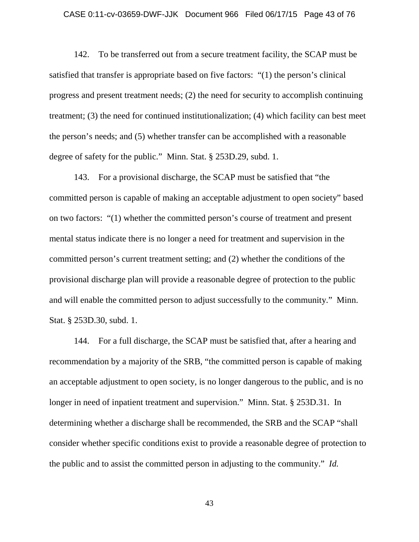## CASE 0:11-cv-03659-DWF-JJK Document 966 Filed 06/17/15 Page 43 of 76

142. To be transferred out from a secure treatment facility, the SCAP must be satisfied that transfer is appropriate based on five factors: "(1) the person's clinical progress and present treatment needs; (2) the need for security to accomplish continuing treatment; (3) the need for continued institutionalization; (4) which facility can best meet the person's needs; and (5) whether transfer can be accomplished with a reasonable degree of safety for the public." Minn. Stat. § 253D.29, subd. 1.

143. For a provisional discharge, the SCAP must be satisfied that "the committed person is capable of making an acceptable adjustment to open society" based on two factors: "(1) whether the committed person's course of treatment and present mental status indicate there is no longer a need for treatment and supervision in the committed person's current treatment setting; and (2) whether the conditions of the provisional discharge plan will provide a reasonable degree of protection to the public and will enable the committed person to adjust successfully to the community." Minn. Stat. § 253D.30, subd. 1.

144. For a full discharge, the SCAP must be satisfied that, after a hearing and recommendation by a majority of the SRB, "the committed person is capable of making an acceptable adjustment to open society, is no longer dangerous to the public, and is no longer in need of inpatient treatment and supervision." Minn. Stat. § 253D.31. In determining whether a discharge shall be recommended, the SRB and the SCAP "shall consider whether specific conditions exist to provide a reasonable degree of protection to the public and to assist the committed person in adjusting to the community." *Id.*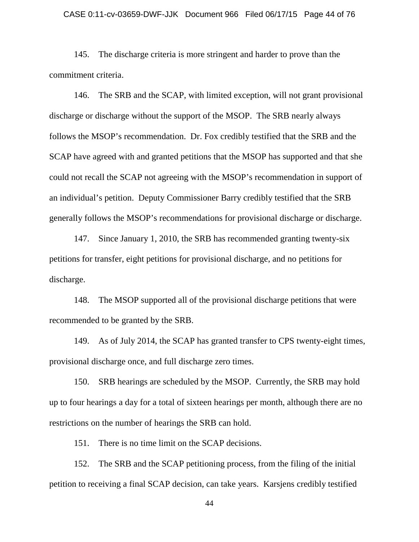#### CASE 0:11-cv-03659-DWF-JJK Document 966 Filed 06/17/15 Page 44 of 76

145. The discharge criteria is more stringent and harder to prove than the commitment criteria.

146. The SRB and the SCAP, with limited exception, will not grant provisional discharge or discharge without the support of the MSOP. The SRB nearly always follows the MSOP's recommendation. Dr. Fox credibly testified that the SRB and the SCAP have agreed with and granted petitions that the MSOP has supported and that she could not recall the SCAP not agreeing with the MSOP's recommendation in support of an individual's petition. Deputy Commissioner Barry credibly testified that the SRB generally follows the MSOP's recommendations for provisional discharge or discharge.

147. Since January 1, 2010, the SRB has recommended granting twenty-six petitions for transfer, eight petitions for provisional discharge, and no petitions for discharge.

148. The MSOP supported all of the provisional discharge petitions that were recommended to be granted by the SRB.

149. As of July 2014, the SCAP has granted transfer to CPS twenty-eight times, provisional discharge once, and full discharge zero times.

150. SRB hearings are scheduled by the MSOP. Currently, the SRB may hold up to four hearings a day for a total of sixteen hearings per month, although there are no restrictions on the number of hearings the SRB can hold.

151. There is no time limit on the SCAP decisions.

152. The SRB and the SCAP petitioning process, from the filing of the initial petition to receiving a final SCAP decision, can take years. Karsjens credibly testified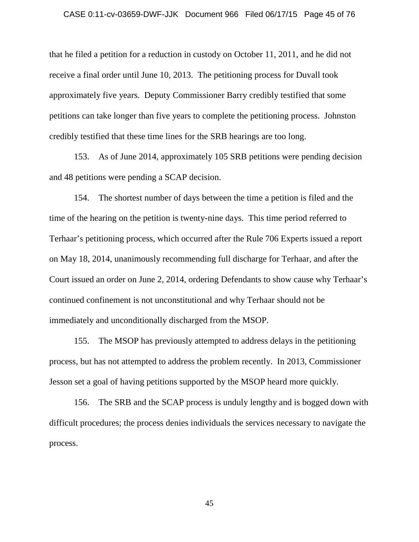#### CASE 0:11-cv-03659-DWF-JJK Document 966 Filed 06/17/15 Page 45 of 76

that he filed a petition for a reduction in custody on October 11, 2011, and he did not receive a final order until June 10, 2013. The petitioning process for Duvall took approximately five years. Deputy Commissioner Barry credibly testified that some petitions can take longer than five years to complete the petitioning process. Johnston credibly testified that these time lines for the SRB hearings are too long.

153. As of June 2014, approximately 105 SRB petitions were pending decision and 48 petitions were pending a SCAP decision.

154. The shortest number of days between the time a petition is filed and the time of the hearing on the petition is twenty-nine days. This time period referred to Terhaar's petitioning process, which occurred after the Rule 706 Experts issued a report on May 18, 2014, unanimously recommending full discharge for Terhaar, and after the Court issued an order on June 2, 2014, ordering Defendants to show cause why Terhaar's continued confinement is not unconstitutional and why Terhaar should not be immediately and unconditionally discharged from the MSOP.

155. The MSOP has previously attempted to address delays in the petitioning process, but has not attempted to address the problem recently. In 2013, Commissioner Jesson set a goal of having petitions supported by the MSOP heard more quickly.

156. The SRB and the SCAP process is unduly lengthy and is bogged down with difficult procedures; the process denies individuals the services necessary to navigate the process.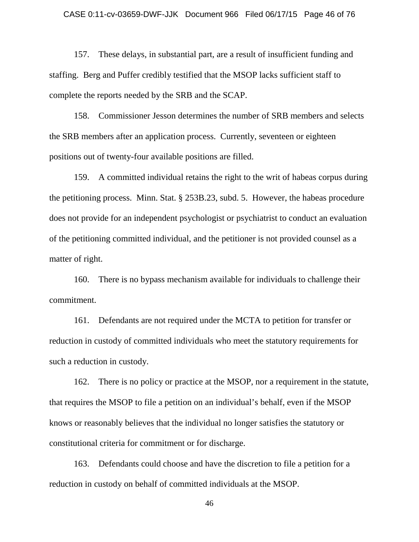#### CASE 0:11-cv-03659-DWF-JJK Document 966 Filed 06/17/15 Page 46 of 76

157. These delays, in substantial part, are a result of insufficient funding and staffing. Berg and Puffer credibly testified that the MSOP lacks sufficient staff to complete the reports needed by the SRB and the SCAP.

158. Commissioner Jesson determines the number of SRB members and selects the SRB members after an application process. Currently, seventeen or eighteen positions out of twenty-four available positions are filled.

159. A committed individual retains the right to the writ of habeas corpus during the petitioning process. Minn. Stat. § 253B.23, subd. 5. However, the habeas procedure does not provide for an independent psychologist or psychiatrist to conduct an evaluation of the petitioning committed individual, and the petitioner is not provided counsel as a matter of right.

160. There is no bypass mechanism available for individuals to challenge their commitment.

161. Defendants are not required under the MCTA to petition for transfer or reduction in custody of committed individuals who meet the statutory requirements for such a reduction in custody.

162. There is no policy or practice at the MSOP, nor a requirement in the statute, that requires the MSOP to file a petition on an individual's behalf, even if the MSOP knows or reasonably believes that the individual no longer satisfies the statutory or constitutional criteria for commitment or for discharge.

163. Defendants could choose and have the discretion to file a petition for a reduction in custody on behalf of committed individuals at the MSOP.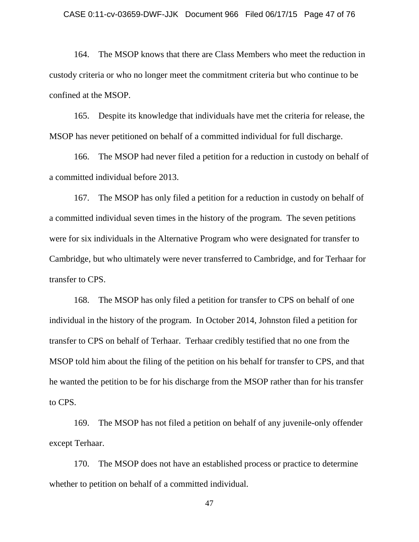#### CASE 0:11-cv-03659-DWF-JJK Document 966 Filed 06/17/15 Page 47 of 76

164. The MSOP knows that there are Class Members who meet the reduction in custody criteria or who no longer meet the commitment criteria but who continue to be confined at the MSOP.

165. Despite its knowledge that individuals have met the criteria for release, the MSOP has never petitioned on behalf of a committed individual for full discharge.

166. The MSOP had never filed a petition for a reduction in custody on behalf of a committed individual before 2013.

167. The MSOP has only filed a petition for a reduction in custody on behalf of a committed individual seven times in the history of the program. The seven petitions were for six individuals in the Alternative Program who were designated for transfer to Cambridge, but who ultimately were never transferred to Cambridge, and for Terhaar for transfer to CPS.

168. The MSOP has only filed a petition for transfer to CPS on behalf of one individual in the history of the program. In October 2014, Johnston filed a petition for transfer to CPS on behalf of Terhaar. Terhaar credibly testified that no one from the MSOP told him about the filing of the petition on his behalf for transfer to CPS, and that he wanted the petition to be for his discharge from the MSOP rather than for his transfer to CPS.

169. The MSOP has not filed a petition on behalf of any juvenile-only offender except Terhaar.

170. The MSOP does not have an established process or practice to determine whether to petition on behalf of a committed individual.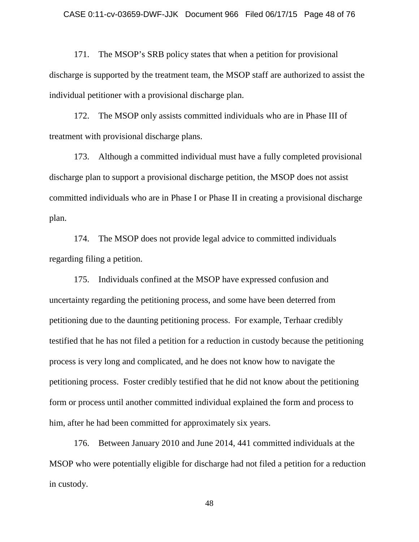171. The MSOP's SRB policy states that when a petition for provisional discharge is supported by the treatment team, the MSOP staff are authorized to assist the individual petitioner with a provisional discharge plan.

172. The MSOP only assists committed individuals who are in Phase III of treatment with provisional discharge plans.

173. Although a committed individual must have a fully completed provisional discharge plan to support a provisional discharge petition, the MSOP does not assist committed individuals who are in Phase I or Phase II in creating a provisional discharge plan.

174. The MSOP does not provide legal advice to committed individuals regarding filing a petition.

175. Individuals confined at the MSOP have expressed confusion and uncertainty regarding the petitioning process, and some have been deterred from petitioning due to the daunting petitioning process. For example, Terhaar credibly testified that he has not filed a petition for a reduction in custody because the petitioning process is very long and complicated, and he does not know how to navigate the petitioning process. Foster credibly testified that he did not know about the petitioning form or process until another committed individual explained the form and process to him, after he had been committed for approximately six years.

176. Between January 2010 and June 2014, 441 committed individuals at the MSOP who were potentially eligible for discharge had not filed a petition for a reduction in custody.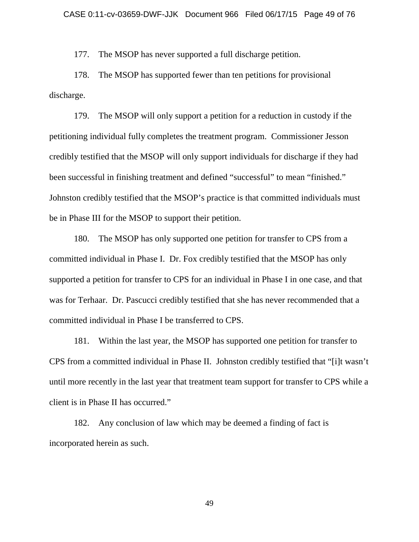177. The MSOP has never supported a full discharge petition.

178. The MSOP has supported fewer than ten petitions for provisional discharge.

179. The MSOP will only support a petition for a reduction in custody if the petitioning individual fully completes the treatment program. Commissioner Jesson credibly testified that the MSOP will only support individuals for discharge if they had been successful in finishing treatment and defined "successful" to mean "finished." Johnston credibly testified that the MSOP's practice is that committed individuals must be in Phase III for the MSOP to support their petition.

180. The MSOP has only supported one petition for transfer to CPS from a committed individual in Phase I. Dr. Fox credibly testified that the MSOP has only supported a petition for transfer to CPS for an individual in Phase I in one case, and that was for Terhaar. Dr. Pascucci credibly testified that she has never recommended that a committed individual in Phase I be transferred to CPS.

181. Within the last year, the MSOP has supported one petition for transfer to CPS from a committed individual in Phase II. Johnston credibly testified that "[i]t wasn't until more recently in the last year that treatment team support for transfer to CPS while a client is in Phase II has occurred."

182. Any conclusion of law which may be deemed a finding of fact is incorporated herein as such.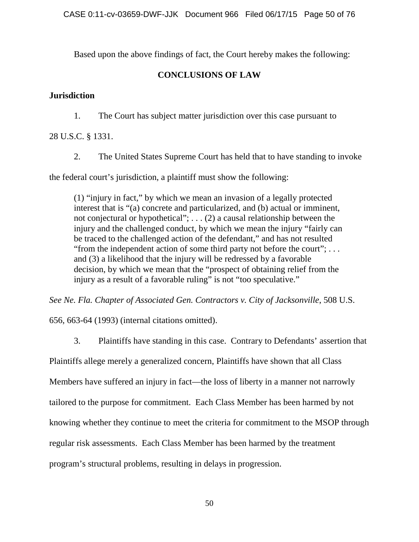Based upon the above findings of fact, the Court hereby makes the following:

# **CONCLUSIONS OF LAW**

# **Jurisdiction**

1. The Court has subject matter jurisdiction over this case pursuant to

# 28 U.S.C. § 1331.

2. The United States Supreme Court has held that to have standing to invoke

the federal court's jurisdiction, a plaintiff must show the following:

(1) "injury in fact," by which we mean an invasion of a legally protected interest that is "(a) concrete and particularized, and (b) actual or imminent, not conjectural or hypothetical"; . . . (2) a causal relationship between the injury and the challenged conduct, by which we mean the injury "fairly can be traced to the challenged action of the defendant," and has not resulted "from the independent action of some third party not before the court"; . . . and (3) a likelihood that the injury will be redressed by a favorable decision, by which we mean that the "prospect of obtaining relief from the injury as a result of a favorable ruling" is not "too speculative."

*See Ne. Fla. Chapter of Associated Gen. Contractors v. City of Jacksonville*, 508 U.S.

656, 663-64 (1993) (internal citations omitted).

3. Plaintiffs have standing in this case. Contrary to Defendants' assertion that

Plaintiffs allege merely a generalized concern, Plaintiffs have shown that all Class

Members have suffered an injury in fact—the loss of liberty in a manner not narrowly

tailored to the purpose for commitment. Each Class Member has been harmed by not

knowing whether they continue to meet the criteria for commitment to the MSOP through

regular risk assessments. Each Class Member has been harmed by the treatment

program's structural problems, resulting in delays in progression.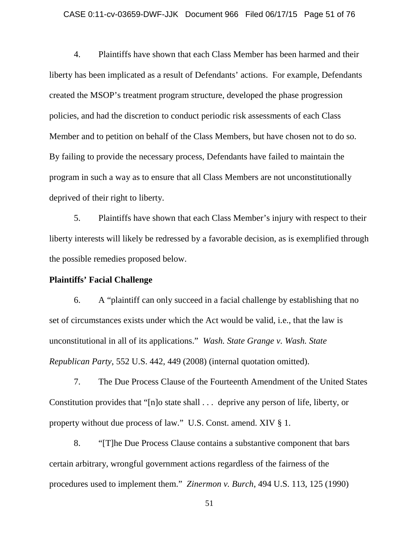## CASE 0:11-cv-03659-DWF-JJK Document 966 Filed 06/17/15 Page 51 of 76

4. Plaintiffs have shown that each Class Member has been harmed and their liberty has been implicated as a result of Defendants' actions. For example, Defendants created the MSOP's treatment program structure, developed the phase progression policies, and had the discretion to conduct periodic risk assessments of each Class Member and to petition on behalf of the Class Members, but have chosen not to do so. By failing to provide the necessary process, Defendants have failed to maintain the program in such a way as to ensure that all Class Members are not unconstitutionally deprived of their right to liberty.

5. Plaintiffs have shown that each Class Member's injury with respect to their liberty interests will likely be redressed by a favorable decision, as is exemplified through the possible remedies proposed below.

## **Plaintiffs' Facial Challenge**

6. A "plaintiff can only succeed in a facial challenge by establishing that no set of circumstances exists under which the Act would be valid, i.e., that the law is unconstitutional in all of its applications." *Wash. State Grange v. Wash. State Republican Party*, 552 U.S. 442, 449 (2008) (internal quotation omitted).

7. The Due Process Clause of the Fourteenth Amendment of the United States Constitution provides that "[n]o state shall . . . deprive any person of life, liberty, or property without due process of law." U.S. Const. amend. XIV § 1.

8. "[T]he Due Process Clause contains a substantive component that bars certain arbitrary, wrongful government actions regardless of the fairness of the procedures used to implement them." *Zinermon v. Burch*, 494 U.S. 113, 125 (1990)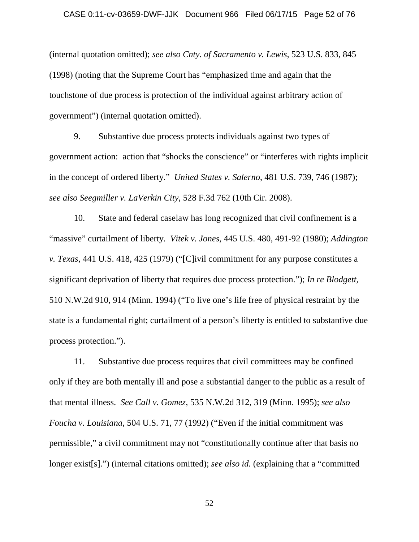#### CASE 0:11-cv-03659-DWF-JJK Document 966 Filed 06/17/15 Page 52 of 76

(internal quotation omitted); *see also Cnty. of Sacramento v. Lewis*, 523 U.S. 833, 845 (1998) (noting that the Supreme Court has "emphasized time and again that the touchstone of due process is protection of the individual against arbitrary action of government") (internal quotation omitted).

9. Substantive due process protects individuals against two types of government action: action that "shocks the conscience" or "interferes with rights implicit in the concept of ordered liberty." *United States v. Salerno*, 481 U.S. 739, 746 (1987); *see also Seegmiller v. LaVerkin City*, 528 F.3d 762 (10th Cir. 2008).

10. State and federal caselaw has long recognized that civil confinement is a "massive" curtailment of liberty. *Vitek v. Jones*, 445 U.S. 480, 491-92 (1980); *Addington v. Texas*, 441 U.S. 418, 425 (1979) ("[C]ivil commitment for any purpose constitutes a significant deprivation of liberty that requires due process protection."); *In re Blodgett*, 510 N.W.2d 910, 914 (Minn. 1994) ("To live one's life free of physical restraint by the state is a fundamental right; curtailment of a person's liberty is entitled to substantive due process protection.").

11. Substantive due process requires that civil committees may be confined only if they are both mentally ill and pose a substantial danger to the public as a result of that mental illness. *See Call v. Gomez*, 535 N.W.2d 312, 319 (Minn. 1995); *see also Foucha v. Louisiana*, 504 U.S. 71, 77 (1992) ("Even if the initial commitment was permissible," a civil commitment may not "constitutionally continue after that basis no longer exist[s].") (internal citations omitted); *see also id.* (explaining that a "committed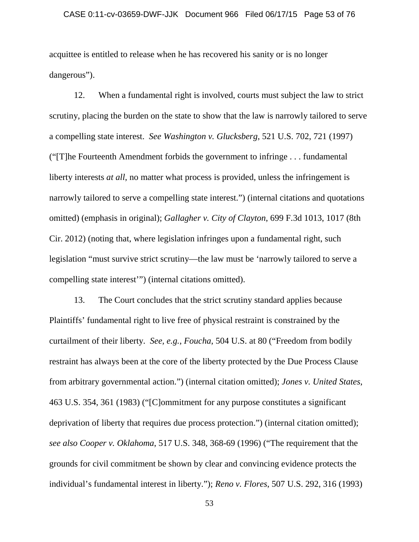## CASE 0:11-cv-03659-DWF-JJK Document 966 Filed 06/17/15 Page 53 of 76

acquittee is entitled to release when he has recovered his sanity or is no longer dangerous").

12. When a fundamental right is involved, courts must subject the law to strict scrutiny, placing the burden on the state to show that the law is narrowly tailored to serve a compelling state interest. *See Washington v. Glucksberg*, 521 U.S. 702, 721 (1997) ("[T]he Fourteenth Amendment forbids the government to infringe . . . fundamental liberty interests *at all*, no matter what process is provided, unless the infringement is narrowly tailored to serve a compelling state interest.") (internal citations and quotations omitted) (emphasis in original); *Gallagher v. City of Clayton*, 699 F.3d 1013, 1017 (8th Cir. 2012) (noting that, where legislation infringes upon a fundamental right, such legislation "must survive strict scrutiny—the law must be 'narrowly tailored to serve a compelling state interest'") (internal citations omitted).

13. The Court concludes that the strict scrutiny standard applies because Plaintiffs' fundamental right to live free of physical restraint is constrained by the curtailment of their liberty. *See, e.g.*, *Foucha*, 504 U.S. at 80 ("Freedom from bodily restraint has always been at the core of the liberty protected by the Due Process Clause from arbitrary governmental action.") (internal citation omitted); *Jones v. United States*, 463 U.S. 354, 361 (1983) ("[C]ommitment for any purpose constitutes a significant deprivation of liberty that requires due process protection.") (internal citation omitted); *see also Cooper v. Oklahoma*, 517 U.S. 348, 368-69 (1996) ("The requirement that the grounds for civil commitment be shown by clear and convincing evidence protects the individual's fundamental interest in liberty."); *Reno v. Flores*, 507 U.S. 292, 316 (1993)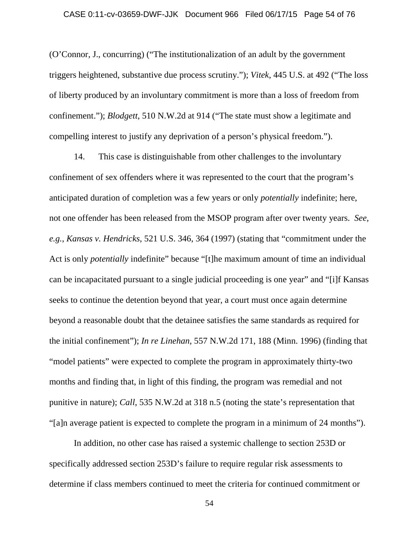### CASE 0:11-cv-03659-DWF-JJK Document 966 Filed 06/17/15 Page 54 of 76

(O'Connor, J., concurring) ("The institutionalization of an adult by the government triggers heightened, substantive due process scrutiny."); *Vitek*, 445 U.S. at 492 ("The loss of liberty produced by an involuntary commitment is more than a loss of freedom from confinement."); *Blodgett*, 510 N.W.2d at 914 ("The state must show a legitimate and compelling interest to justify any deprivation of a person's physical freedom.").

14. This case is distinguishable from other challenges to the involuntary confinement of sex offenders where it was represented to the court that the program's anticipated duration of completion was a few years or only *potentially* indefinite; here, not one offender has been released from the MSOP program after over twenty years. *See, e.g.*, *Kansas v. Hendricks*, 521 U.S. 346, 364 (1997) (stating that "commitment under the Act is only *potentially* indefinite" because "[t]he maximum amount of time an individual can be incapacitated pursuant to a single judicial proceeding is one year" and "[i]f Kansas seeks to continue the detention beyond that year, a court must once again determine beyond a reasonable doubt that the detainee satisfies the same standards as required for the initial confinement"); *In re Linehan*, 557 N.W.2d 171, 188 (Minn. 1996) (finding that "model patients" were expected to complete the program in approximately thirty-two months and finding that, in light of this finding, the program was remedial and not punitive in nature); *Call*, 535 N.W.2d at 318 n.5 (noting the state's representation that "[a]n average patient is expected to complete the program in a minimum of 24 months").

In addition, no other case has raised a systemic challenge to section 253D or specifically addressed section 253D's failure to require regular risk assessments to determine if class members continued to meet the criteria for continued commitment or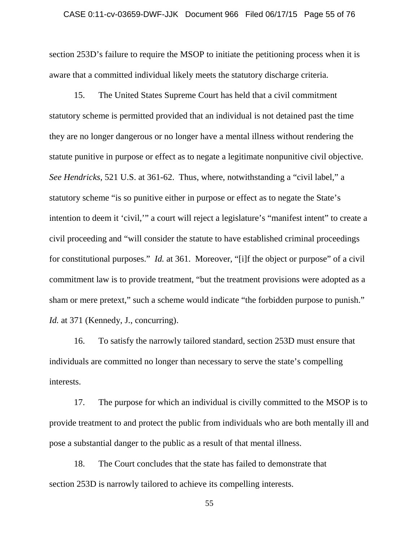#### CASE 0:11-cv-03659-DWF-JJK Document 966 Filed 06/17/15 Page 55 of 76

section 253D's failure to require the MSOP to initiate the petitioning process when it is aware that a committed individual likely meets the statutory discharge criteria.

15. The United States Supreme Court has held that a civil commitment statutory scheme is permitted provided that an individual is not detained past the time they are no longer dangerous or no longer have a mental illness without rendering the statute punitive in purpose or effect as to negate a legitimate nonpunitive civil objective. *See Hendricks*, 521 U.S. at 361-62. Thus, where, notwithstanding a "civil label," a statutory scheme "is so punitive either in purpose or effect as to negate the State's intention to deem it 'civil,'" a court will reject a legislature's "manifest intent" to create a civil proceeding and "will consider the statute to have established criminal proceedings for constitutional purposes." *Id.* at 361. Moreover, "[i]f the object or purpose" of a civil commitment law is to provide treatment, "but the treatment provisions were adopted as a sham or mere pretext," such a scheme would indicate "the forbidden purpose to punish." *Id.* at 371 (Kennedy, J., concurring).

16. To satisfy the narrowly tailored standard, section 253D must ensure that individuals are committed no longer than necessary to serve the state's compelling interests.

17. The purpose for which an individual is civilly committed to the MSOP is to provide treatment to and protect the public from individuals who are both mentally ill and pose a substantial danger to the public as a result of that mental illness.

18. The Court concludes that the state has failed to demonstrate that section 253D is narrowly tailored to achieve its compelling interests.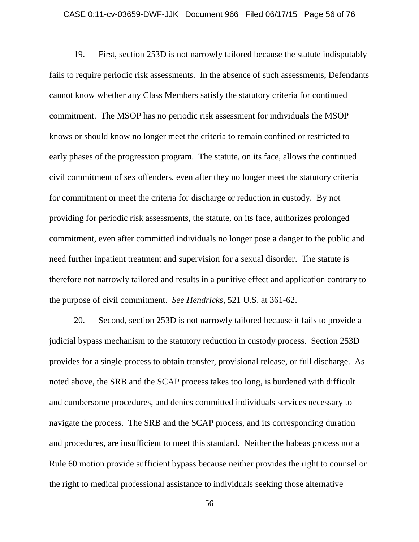### CASE 0:11-cv-03659-DWF-JJK Document 966 Filed 06/17/15 Page 56 of 76

19. First, section 253D is not narrowly tailored because the statute indisputably fails to require periodic risk assessments. In the absence of such assessments, Defendants cannot know whether any Class Members satisfy the statutory criteria for continued commitment. The MSOP has no periodic risk assessment for individuals the MSOP knows or should know no longer meet the criteria to remain confined or restricted to early phases of the progression program. The statute, on its face, allows the continued civil commitment of sex offenders, even after they no longer meet the statutory criteria for commitment or meet the criteria for discharge or reduction in custody. By not providing for periodic risk assessments, the statute, on its face, authorizes prolonged commitment, even after committed individuals no longer pose a danger to the public and need further inpatient treatment and supervision for a sexual disorder. The statute is therefore not narrowly tailored and results in a punitive effect and application contrary to the purpose of civil commitment. *See Hendricks*, 521 U.S. at 361-62.

20. Second, section 253D is not narrowly tailored because it fails to provide a judicial bypass mechanism to the statutory reduction in custody process. Section 253D provides for a single process to obtain transfer, provisional release, or full discharge. As noted above, the SRB and the SCAP process takes too long, is burdened with difficult and cumbersome procedures, and denies committed individuals services necessary to navigate the process. The SRB and the SCAP process, and its corresponding duration and procedures, are insufficient to meet this standard. Neither the habeas process nor a Rule 60 motion provide sufficient bypass because neither provides the right to counsel or the right to medical professional assistance to individuals seeking those alternative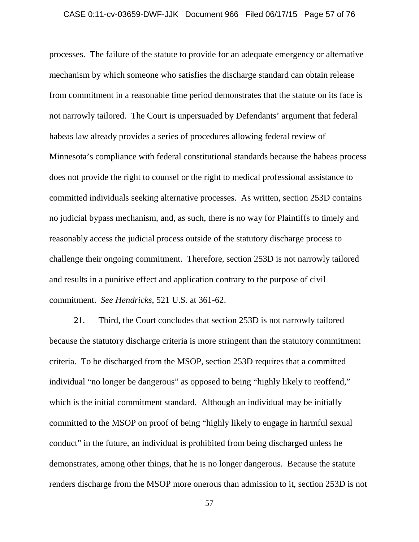## CASE 0:11-cv-03659-DWF-JJK Document 966 Filed 06/17/15 Page 57 of 76

processes. The failure of the statute to provide for an adequate emergency or alternative mechanism by which someone who satisfies the discharge standard can obtain release from commitment in a reasonable time period demonstrates that the statute on its face is not narrowly tailored. The Court is unpersuaded by Defendants' argument that federal habeas law already provides a series of procedures allowing federal review of Minnesota's compliance with federal constitutional standards because the habeas process does not provide the right to counsel or the right to medical professional assistance to committed individuals seeking alternative processes. As written, section 253D contains no judicial bypass mechanism, and, as such, there is no way for Plaintiffs to timely and reasonably access the judicial process outside of the statutory discharge process to challenge their ongoing commitment. Therefore, section 253D is not narrowly tailored and results in a punitive effect and application contrary to the purpose of civil commitment. *See Hendricks*, 521 U.S. at 361-62.

21. Third, the Court concludes that section 253D is not narrowly tailored because the statutory discharge criteria is more stringent than the statutory commitment criteria. To be discharged from the MSOP, section 253D requires that a committed individual "no longer be dangerous" as opposed to being "highly likely to reoffend," which is the initial commitment standard. Although an individual may be initially committed to the MSOP on proof of being "highly likely to engage in harmful sexual conduct" in the future, an individual is prohibited from being discharged unless he demonstrates, among other things, that he is no longer dangerous. Because the statute renders discharge from the MSOP more onerous than admission to it, section 253D is not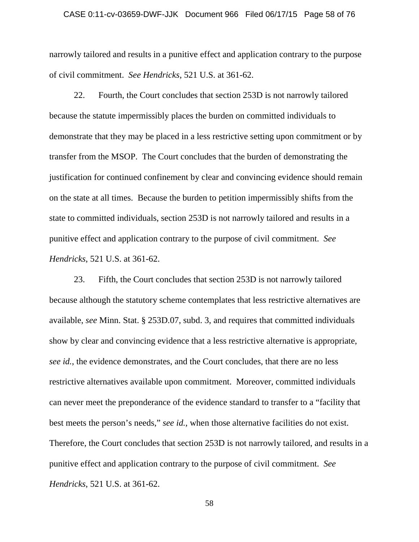#### CASE 0:11-cv-03659-DWF-JJK Document 966 Filed 06/17/15 Page 58 of 76

narrowly tailored and results in a punitive effect and application contrary to the purpose of civil commitment. *See Hendricks*, 521 U.S. at 361-62.

22. Fourth, the Court concludes that section 253D is not narrowly tailored because the statute impermissibly places the burden on committed individuals to demonstrate that they may be placed in a less restrictive setting upon commitment or by transfer from the MSOP. The Court concludes that the burden of demonstrating the justification for continued confinement by clear and convincing evidence should remain on the state at all times. Because the burden to petition impermissibly shifts from the state to committed individuals, section 253D is not narrowly tailored and results in a punitive effect and application contrary to the purpose of civil commitment. *See Hendricks*, 521 U.S. at 361-62.

23. Fifth, the Court concludes that section 253D is not narrowly tailored because although the statutory scheme contemplates that less restrictive alternatives are available, *see* Minn. Stat. § 253D.07, subd. 3, and requires that committed individuals show by clear and convincing evidence that a less restrictive alternative is appropriate, *see id.*, the evidence demonstrates, and the Court concludes, that there are no less restrictive alternatives available upon commitment. Moreover, committed individuals can never meet the preponderance of the evidence standard to transfer to a "facility that best meets the person's needs," *see id.*, when those alternative facilities do not exist. Therefore, the Court concludes that section 253D is not narrowly tailored, and results in a punitive effect and application contrary to the purpose of civil commitment. *See Hendricks*, 521 U.S. at 361-62.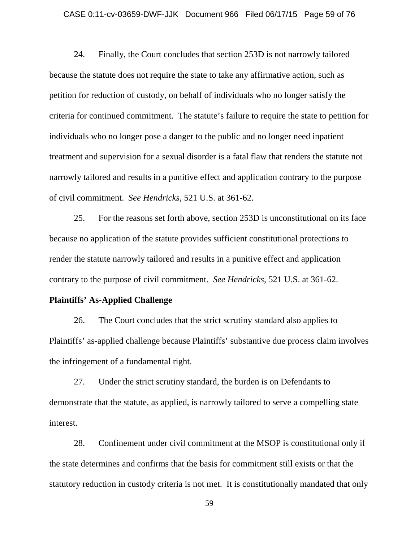#### CASE 0:11-cv-03659-DWF-JJK Document 966 Filed 06/17/15 Page 59 of 76

24. Finally, the Court concludes that section 253D is not narrowly tailored because the statute does not require the state to take any affirmative action, such as petition for reduction of custody, on behalf of individuals who no longer satisfy the criteria for continued commitment. The statute's failure to require the state to petition for individuals who no longer pose a danger to the public and no longer need inpatient treatment and supervision for a sexual disorder is a fatal flaw that renders the statute not narrowly tailored and results in a punitive effect and application contrary to the purpose of civil commitment. *See Hendricks*, 521 U.S. at 361-62.

25. For the reasons set forth above, section 253D is unconstitutional on its face because no application of the statute provides sufficient constitutional protections to render the statute narrowly tailored and results in a punitive effect and application contrary to the purpose of civil commitment. *See Hendricks*, 521 U.S. at 361-62.

## **Plaintiffs' As-Applied Challenge**

26. The Court concludes that the strict scrutiny standard also applies to Plaintiffs' as-applied challenge because Plaintiffs' substantive due process claim involves the infringement of a fundamental right.

27. Under the strict scrutiny standard, the burden is on Defendants to demonstrate that the statute, as applied, is narrowly tailored to serve a compelling state interest.

28. Confinement under civil commitment at the MSOP is constitutional only if the state determines and confirms that the basis for commitment still exists or that the statutory reduction in custody criteria is not met. It is constitutionally mandated that only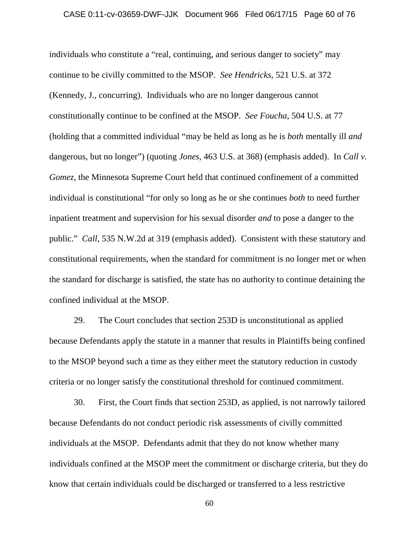## CASE 0:11-cv-03659-DWF-JJK Document 966 Filed 06/17/15 Page 60 of 76

individuals who constitute a "real, continuing, and serious danger to society" may continue to be civilly committed to the MSOP. *See Hendricks*, 521 U.S. at 372 (Kennedy, J., concurring). Individuals who are no longer dangerous cannot constitutionally continue to be confined at the MSOP. *See Foucha*, 504 U.S. at 77 (holding that a committed individual "may be held as long as he is *both* mentally ill *and*  dangerous, but no longer") (quoting *Jones*, 463 U.S. at 368) (emphasis added). In *Call v. Gomez*, the Minnesota Supreme Court held that continued confinement of a committed individual is constitutional "for only so long as he or she continues *both* to need further inpatient treatment and supervision for his sexual disorder *and* to pose a danger to the public." *Call*, 535 N.W.2d at 319 (emphasis added). Consistent with these statutory and constitutional requirements, when the standard for commitment is no longer met or when the standard for discharge is satisfied, the state has no authority to continue detaining the confined individual at the MSOP.

29. The Court concludes that section 253D is unconstitutional as applied because Defendants apply the statute in a manner that results in Plaintiffs being confined to the MSOP beyond such a time as they either meet the statutory reduction in custody criteria or no longer satisfy the constitutional threshold for continued commitment.

30. First, the Court finds that section 253D, as applied, is not narrowly tailored because Defendants do not conduct periodic risk assessments of civilly committed individuals at the MSOP. Defendants admit that they do not know whether many individuals confined at the MSOP meet the commitment or discharge criteria, but they do know that certain individuals could be discharged or transferred to a less restrictive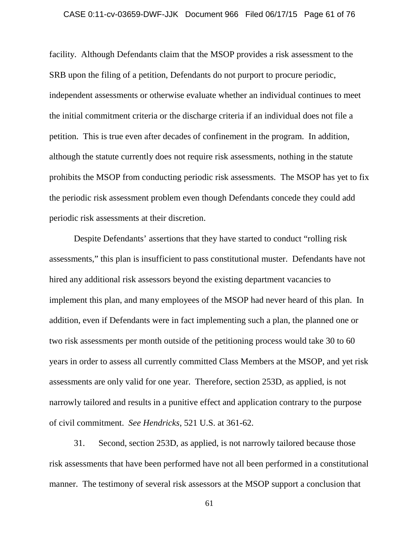## CASE 0:11-cv-03659-DWF-JJK Document 966 Filed 06/17/15 Page 61 of 76

facility. Although Defendants claim that the MSOP provides a risk assessment to the SRB upon the filing of a petition, Defendants do not purport to procure periodic, independent assessments or otherwise evaluate whether an individual continues to meet the initial commitment criteria or the discharge criteria if an individual does not file a petition. This is true even after decades of confinement in the program. In addition, although the statute currently does not require risk assessments, nothing in the statute prohibits the MSOP from conducting periodic risk assessments. The MSOP has yet to fix the periodic risk assessment problem even though Defendants concede they could add periodic risk assessments at their discretion.

Despite Defendants' assertions that they have started to conduct "rolling risk assessments," this plan is insufficient to pass constitutional muster. Defendants have not hired any additional risk assessors beyond the existing department vacancies to implement this plan, and many employees of the MSOP had never heard of this plan. In addition, even if Defendants were in fact implementing such a plan, the planned one or two risk assessments per month outside of the petitioning process would take 30 to 60 years in order to assess all currently committed Class Members at the MSOP, and yet risk assessments are only valid for one year. Therefore, section 253D, as applied, is not narrowly tailored and results in a punitive effect and application contrary to the purpose of civil commitment. *See Hendricks*, 521 U.S. at 361-62.

31. Second, section 253D, as applied, is not narrowly tailored because those risk assessments that have been performed have not all been performed in a constitutional manner. The testimony of several risk assessors at the MSOP support a conclusion that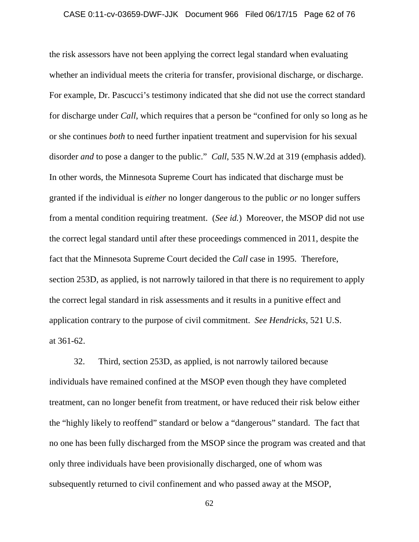## CASE 0:11-cv-03659-DWF-JJK Document 966 Filed 06/17/15 Page 62 of 76

the risk assessors have not been applying the correct legal standard when evaluating whether an individual meets the criteria for transfer, provisional discharge, or discharge. For example, Dr. Pascucci's testimony indicated that she did not use the correct standard for discharge under *Call*, which requires that a person be "confined for only so long as he or she continues *both* to need further inpatient treatment and supervision for his sexual disorder *and* to pose a danger to the public." *Call*, 535 N.W.2d at 319 (emphasis added). In other words, the Minnesota Supreme Court has indicated that discharge must be granted if the individual is *either* no longer dangerous to the public *or* no longer suffers from a mental condition requiring treatment. (*See id.*) Moreover, the MSOP did not use the correct legal standard until after these proceedings commenced in 2011, despite the fact that the Minnesota Supreme Court decided the *Call* case in 1995. Therefore, section 253D, as applied, is not narrowly tailored in that there is no requirement to apply the correct legal standard in risk assessments and it results in a punitive effect and application contrary to the purpose of civil commitment. *See Hendricks*, 521 U.S. at 361-62.

32. Third, section 253D, as applied, is not narrowly tailored because individuals have remained confined at the MSOP even though they have completed treatment, can no longer benefit from treatment, or have reduced their risk below either the "highly likely to reoffend" standard or below a "dangerous" standard. The fact that no one has been fully discharged from the MSOP since the program was created and that only three individuals have been provisionally discharged, one of whom was subsequently returned to civil confinement and who passed away at the MSOP,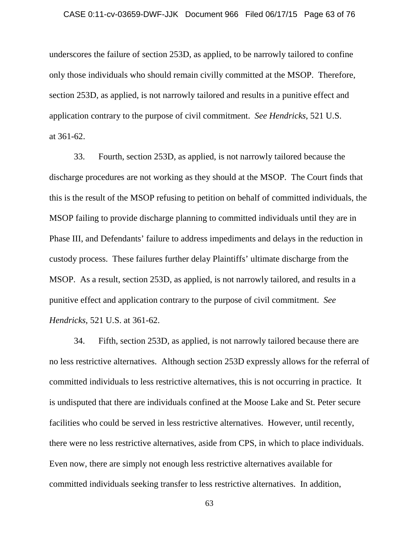underscores the failure of section 253D, as applied, to be narrowly tailored to confine only those individuals who should remain civilly committed at the MSOP. Therefore, section 253D, as applied, is not narrowly tailored and results in a punitive effect and application contrary to the purpose of civil commitment. *See Hendricks*, 521 U.S. at 361-62.

33. Fourth, section 253D, as applied, is not narrowly tailored because the discharge procedures are not working as they should at the MSOP. The Court finds that this is the result of the MSOP refusing to petition on behalf of committed individuals, the MSOP failing to provide discharge planning to committed individuals until they are in Phase III, and Defendants' failure to address impediments and delays in the reduction in custody process. These failures further delay Plaintiffs' ultimate discharge from the MSOP. As a result, section 253D, as applied, is not narrowly tailored, and results in a punitive effect and application contrary to the purpose of civil commitment. *See Hendricks*, 521 U.S. at 361-62.

34. Fifth, section 253D, as applied, is not narrowly tailored because there are no less restrictive alternatives. Although section 253D expressly allows for the referral of committed individuals to less restrictive alternatives, this is not occurring in practice. It is undisputed that there are individuals confined at the Moose Lake and St. Peter secure facilities who could be served in less restrictive alternatives. However, until recently, there were no less restrictive alternatives, aside from CPS, in which to place individuals. Even now, there are simply not enough less restrictive alternatives available for committed individuals seeking transfer to less restrictive alternatives. In addition,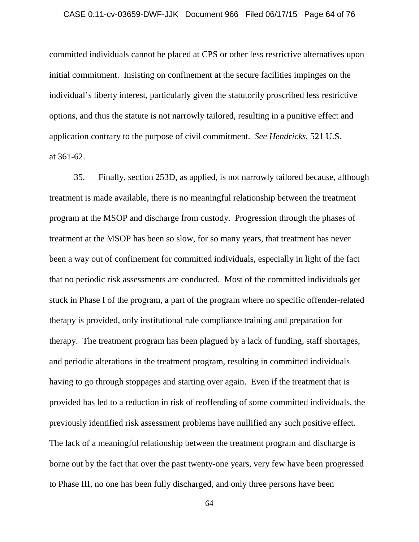## CASE 0:11-cv-03659-DWF-JJK Document 966 Filed 06/17/15 Page 64 of 76

committed individuals cannot be placed at CPS or other less restrictive alternatives upon initial commitment. Insisting on confinement at the secure facilities impinges on the individual's liberty interest, particularly given the statutorily proscribed less restrictive options, and thus the statute is not narrowly tailored, resulting in a punitive effect and application contrary to the purpose of civil commitment. *See Hendricks*, 521 U.S. at 361-62.

35. Finally, section 253D, as applied, is not narrowly tailored because, although treatment is made available, there is no meaningful relationship between the treatment program at the MSOP and discharge from custody. Progression through the phases of treatment at the MSOP has been so slow, for so many years, that treatment has never been a way out of confinement for committed individuals, especially in light of the fact that no periodic risk assessments are conducted. Most of the committed individuals get stuck in Phase I of the program, a part of the program where no specific offender-related therapy is provided, only institutional rule compliance training and preparation for therapy. The treatment program has been plagued by a lack of funding, staff shortages, and periodic alterations in the treatment program, resulting in committed individuals having to go through stoppages and starting over again. Even if the treatment that is provided has led to a reduction in risk of reoffending of some committed individuals, the previously identified risk assessment problems have nullified any such positive effect. The lack of a meaningful relationship between the treatment program and discharge is borne out by the fact that over the past twenty-one years, very few have been progressed to Phase III, no one has been fully discharged, and only three persons have been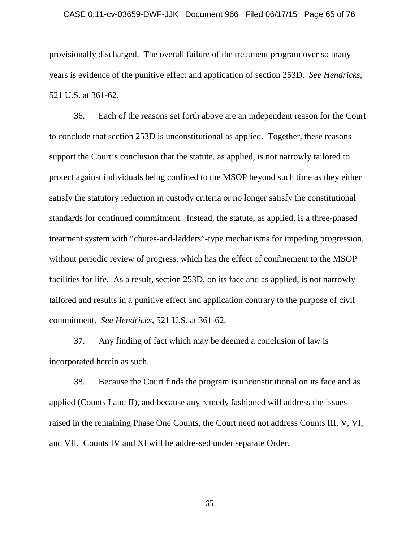#### CASE 0:11-cv-03659-DWF-JJK Document 966 Filed 06/17/15 Page 65 of 76

provisionally discharged. The overall failure of the treatment program over so many years is evidence of the punitive effect and application of section 253D. *See Hendricks*, 521 U.S. at 361-62.

36. Each of the reasons set forth above are an independent reason for the Court to conclude that section 253D is unconstitutional as applied. Together, these reasons support the Court's conclusion that the statute, as applied, is not narrowly tailored to protect against individuals being confined to the MSOP beyond such time as they either satisfy the statutory reduction in custody criteria or no longer satisfy the constitutional standards for continued commitment. Instead, the statute, as applied, is a three-phased treatment system with "chutes-and-ladders"-type mechanisms for impeding progression, without periodic review of progress, which has the effect of confinement to the MSOP facilities for life. As a result, section 253D, on its face and as applied, is not narrowly tailored and results in a punitive effect and application contrary to the purpose of civil commitment. *See Hendricks*, 521 U.S. at 361-62.

37. Any finding of fact which may be deemed a conclusion of law is incorporated herein as such.

38. Because the Court finds the program is unconstitutional on its face and as applied (Counts I and II), and because any remedy fashioned will address the issues raised in the remaining Phase One Counts, the Court need not address Counts III, V, VI, and VII. Counts IV and XI will be addressed under separate Order.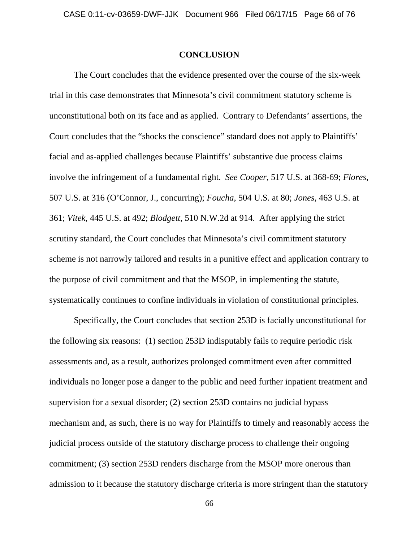## **CONCLUSION**

The Court concludes that the evidence presented over the course of the six-week trial in this case demonstrates that Minnesota's civil commitment statutory scheme is unconstitutional both on its face and as applied. Contrary to Defendants' assertions, the Court concludes that the "shocks the conscience" standard does not apply to Plaintiffs' facial and as-applied challenges because Plaintiffs' substantive due process claims involve the infringement of a fundamental right. *See Cooper*, 517 U.S. at 368-69; *Flores*, 507 U.S. at 316 (O'Connor, J., concurring); *Foucha*, 504 U.S. at 80; *Jones*, 463 U.S. at 361; *Vitek*, 445 U.S. at 492; *Blodgett*, 510 N.W.2d at 914. After applying the strict scrutiny standard, the Court concludes that Minnesota's civil commitment statutory scheme is not narrowly tailored and results in a punitive effect and application contrary to the purpose of civil commitment and that the MSOP, in implementing the statute, systematically continues to confine individuals in violation of constitutional principles.

Specifically, the Court concludes that section 253D is facially unconstitutional for the following six reasons: (1) section 253D indisputably fails to require periodic risk assessments and, as a result, authorizes prolonged commitment even after committed individuals no longer pose a danger to the public and need further inpatient treatment and supervision for a sexual disorder; (2) section 253D contains no judicial bypass mechanism and, as such, there is no way for Plaintiffs to timely and reasonably access the judicial process outside of the statutory discharge process to challenge their ongoing commitment; (3) section 253D renders discharge from the MSOP more onerous than admission to it because the statutory discharge criteria is more stringent than the statutory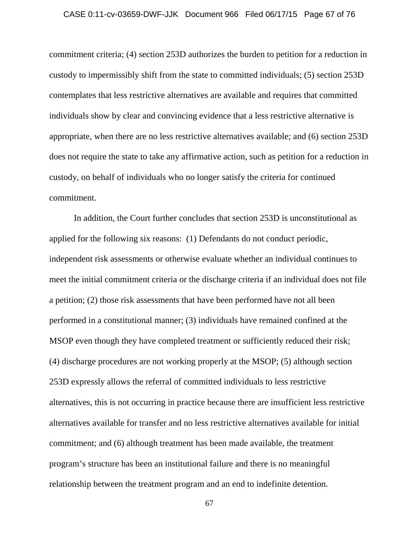## CASE 0:11-cv-03659-DWF-JJK Document 966 Filed 06/17/15 Page 67 of 76

commitment criteria; (4) section 253D authorizes the burden to petition for a reduction in custody to impermissibly shift from the state to committed individuals; (5) section 253D contemplates that less restrictive alternatives are available and requires that committed individuals show by clear and convincing evidence that a less restrictive alternative is appropriate, when there are no less restrictive alternatives available; and (6) section 253D does not require the state to take any affirmative action, such as petition for a reduction in custody, on behalf of individuals who no longer satisfy the criteria for continued commitment.

In addition, the Court further concludes that section 253D is unconstitutional as applied for the following six reasons: (1) Defendants do not conduct periodic, independent risk assessments or otherwise evaluate whether an individual continues to meet the initial commitment criteria or the discharge criteria if an individual does not file a petition; (2) those risk assessments that have been performed have not all been performed in a constitutional manner; (3) individuals have remained confined at the MSOP even though they have completed treatment or sufficiently reduced their risk; (4) discharge procedures are not working properly at the MSOP; (5) although section 253D expressly allows the referral of committed individuals to less restrictive alternatives, this is not occurring in practice because there are insufficient less restrictive alternatives available for transfer and no less restrictive alternatives available for initial commitment; and (6) although treatment has been made available, the treatment program's structure has been an institutional failure and there is no meaningful relationship between the treatment program and an end to indefinite detention.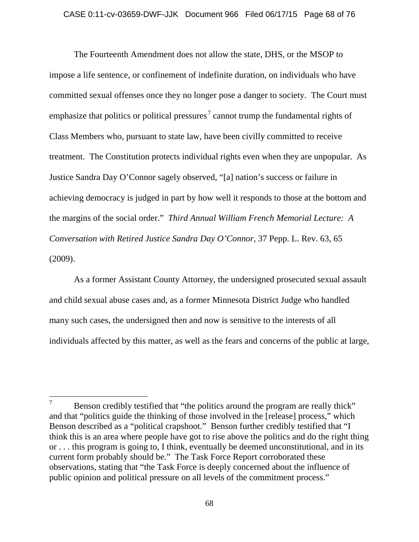The Fourteenth Amendment does not allow the state, DHS, or the MSOP to impose a life sentence, or confinement of indefinite duration, on individuals who have committed sexual offenses once they no longer pose a danger to society. The Court must emphasize that politics or political pressures<sup>[7](#page-67-0)</sup> cannot trump the fundamental rights of Class Members who, pursuant to state law, have been civilly committed to receive treatment. The Constitution protects individual rights even when they are unpopular. As Justice Sandra Day O'Connor sagely observed, "[a] nation's success or failure in achieving democracy is judged in part by how well it responds to those at the bottom and the margins of the social order." *Third Annual William French Memorial Lecture: A Conversation with Retired Justice Sandra Day O'Connor*, 37 Pepp. L. Rev. 63, 65 (2009).

As a former Assistant County Attorney, the undersigned prosecuted sexual assault and child sexual abuse cases and, as a former Minnesota District Judge who handled many such cases, the undersigned then and now is sensitive to the interests of all individuals affected by this matter, as well as the fears and concerns of the public at large,

<span id="page-67-0"></span> $7 \text{  –}$  Benson credibly testified that "the politics around the program are really thick" and that "politics guide the thinking of those involved in the [release] process," which Benson described as a "political crapshoot." Benson further credibly testified that "I think this is an area where people have got to rise above the politics and do the right thing or . . . this program is going to, I think, eventually be deemed unconstitutional, and in its current form probably should be." The Task Force Report corroborated these observations, stating that "the Task Force is deeply concerned about the influence of public opinion and political pressure on all levels of the commitment process."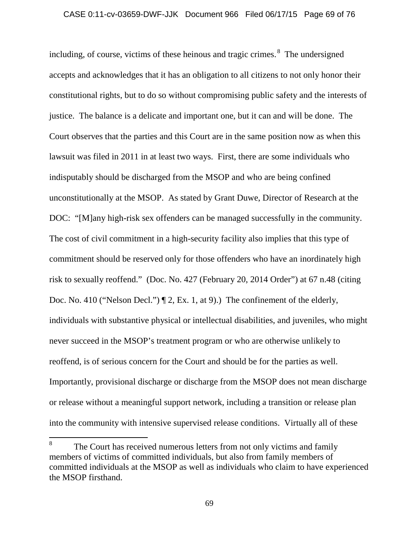including, of course, victims of these heinous and tragic crimes. [8](#page-68-0) The undersigned accepts and acknowledges that it has an obligation to all citizens to not only honor their constitutional rights, but to do so without compromising public safety and the interests of justice. The balance is a delicate and important one, but it can and will be done. The Court observes that the parties and this Court are in the same position now as when this lawsuit was filed in 2011 in at least two ways. First, there are some individuals who indisputably should be discharged from the MSOP and who are being confined unconstitutionally at the MSOP. As stated by Grant Duwe, Director of Research at the DOC: "[M]any high-risk sex offenders can be managed successfully in the community. The cost of civil commitment in a high-security facility also implies that this type of commitment should be reserved only for those offenders who have an inordinately high risk to sexually reoffend." (Doc. No. 427 (February 20, 2014 Order") at 67 n.48 (citing Doc. No. 410 ("Nelson Decl.")  $\P$  2, Ex. 1, at 9).) The confinement of the elderly, individuals with substantive physical or intellectual disabilities, and juveniles, who might never succeed in the MSOP's treatment program or who are otherwise unlikely to reoffend, is of serious concern for the Court and should be for the parties as well. Importantly, provisional discharge or discharge from the MSOP does not mean discharge or release without a meaningful support network, including a transition or release plan into the community with intensive supervised release conditions. Virtually all of these

<span id="page-68-0"></span><sup>&</sup>lt;sup>8</sup> The Court has received numerous letters from not only victims and family members of victims of committed individuals, but also from family members of committed individuals at the MSOP as well as individuals who claim to have experienced the MSOP firsthand.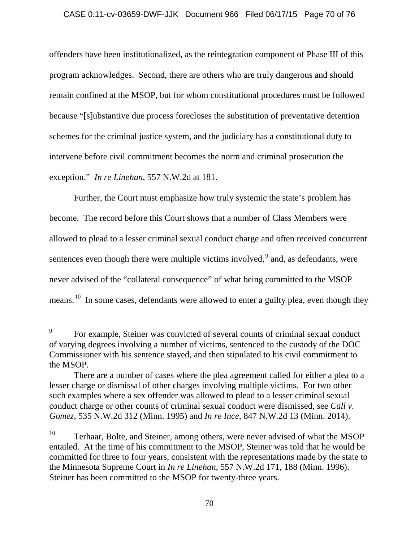## CASE 0:11-cv-03659-DWF-JJK Document 966 Filed 06/17/15 Page 70 of 76

offenders have been institutionalized, as the reintegration component of Phase III of this program acknowledges. Second, there are others who are truly dangerous and should remain confined at the MSOP, but for whom constitutional procedures must be followed because "[s]ubstantive due process forecloses the substitution of preventative detention schemes for the criminal justice system, and the judiciary has a constitutional duty to intervene before civil commitment becomes the norm and criminal prosecution the exception." *In re Linehan*, 557 N.W.2d at 181.

Further, the Court must emphasize how truly systemic the state's problem has become. The record before this Court shows that a number of Class Members were allowed to plead to a lesser criminal sexual conduct charge and often received concurrent sentences even though there were multiple victims involved, <sup>[9](#page-69-0)</sup> and, as defendants, were never advised of the "collateral consequence" of what being committed to the MSOP means.<sup>[10](#page-69-1)</sup> In some cases, defendants were allowed to enter a guilty plea, even though they

<span id="page-69-0"></span><sup>&</sup>lt;sup>9</sup> For example, Steiner was convicted of several counts of criminal sexual conduct of varying degrees involving a number of victims, sentenced to the custody of the DOC Commissioner with his sentence stayed, and then stipulated to his civil commitment to the MSOP.

There are a number of cases where the plea agreement called for either a plea to a lesser charge or dismissal of other charges involving multiple victims. For two other such examples where a sex offender was allowed to plead to a lesser criminal sexual conduct charge or other counts of criminal sexual conduct were dismissed, see *Call v. Gomez*, 535 N.W.2d 312 (Minn. 1995) and *In re Ince*, 847 N.W.2d 13 (Minn. 2014).

<span id="page-69-1"></span> $10$  Terhaar, Bolte, and Steiner, among others, were never advised of what the MSOP entailed. At the time of his commitment to the MSOP, Steiner was told that he would be committed for three to four years, consistent with the representations made by the state to the Minnesota Supreme Court in *In re Linehan*, 557 N.W.2d 171, 188 (Minn. 1996). Steiner has been committed to the MSOP for twenty-three years.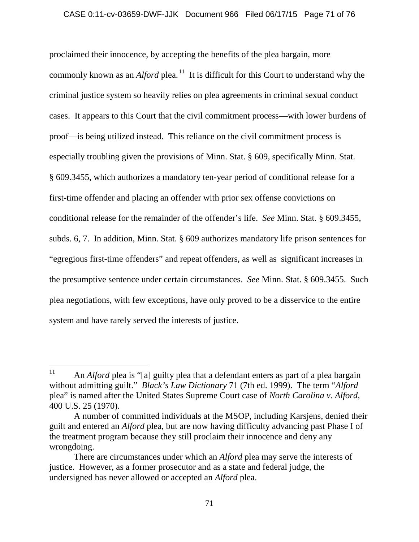## CASE 0:11-cv-03659-DWF-JJK Document 966 Filed 06/17/15 Page 71 of 76

proclaimed their innocence, by accepting the benefits of the plea bargain, more commonly known as an *Alford* plea.<sup>[11](#page-70-0)</sup> It is difficult for this Court to understand why the criminal justice system so heavily relies on plea agreements in criminal sexual conduct cases. It appears to this Court that the civil commitment process—with lower burdens of proof—is being utilized instead. This reliance on the civil commitment process is especially troubling given the provisions of Minn. Stat. § 609, specifically Minn. Stat. § 609.3455, which authorizes a mandatory ten-year period of conditional release for a first-time offender and placing an offender with prior sex offense convictions on conditional release for the remainder of the offender's life. *See* Minn. Stat. § 609.3455, subds. 6, 7. In addition, Minn. Stat. § 609 authorizes mandatory life prison sentences for "egregious first-time offenders" and repeat offenders, as well as significant increases in the presumptive sentence under certain circumstances. *See* Minn. Stat. § 609.3455. Such plea negotiations, with few exceptions, have only proved to be a disservice to the entire system and have rarely served the interests of justice.

<span id="page-70-0"></span><sup>&</sup>lt;sup>11</sup> An *Alford* plea is "[a] guilty plea that a defendant enters as part of a plea bargain without admitting guilt." *Black's Law Dictionary* 71 (7th ed. 1999). The term "*Alford* plea" is named after the United States Supreme Court case of *North Carolina v. Alford*, 400 U.S. 25 (1970).

A number of committed individuals at the MSOP, including Karsjens, denied their guilt and entered an *Alford* plea, but are now having difficulty advancing past Phase I of the treatment program because they still proclaim their innocence and deny any wrongdoing.

There are circumstances under which an *Alford* plea may serve the interests of justice. However, as a former prosecutor and as a state and federal judge, the undersigned has never allowed or accepted an *Alford* plea.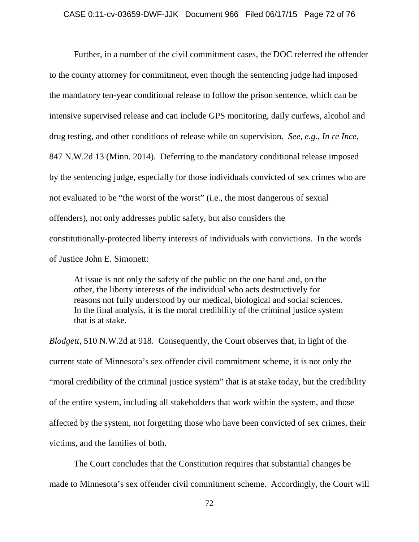Further, in a number of the civil commitment cases, the DOC referred the offender to the county attorney for commitment, even though the sentencing judge had imposed the mandatory ten-year conditional release to follow the prison sentence, which can be intensive supervised release and can include GPS monitoring, daily curfews, alcohol and drug testing, and other conditions of release while on supervision. *See, e.g.*, *In re Ince*, 847 N.W.2d 13 (Minn. 2014). Deferring to the mandatory conditional release imposed by the sentencing judge, especially for those individuals convicted of sex crimes who are not evaluated to be "the worst of the worst" (i.e., the most dangerous of sexual offenders), not only addresses public safety, but also considers the constitutionally-protected liberty interests of individuals with convictions. In the words of Justice John E. Simonett:

At issue is not only the safety of the public on the one hand and, on the other, the liberty interests of the individual who acts destructively for reasons not fully understood by our medical, biological and social sciences. In the final analysis, it is the moral credibility of the criminal justice system that is at stake.

*Blodgett*, 510 N.W.2d at 918. Consequently, the Court observes that, in light of the current state of Minnesota's sex offender civil commitment scheme, it is not only the "moral credibility of the criminal justice system" that is at stake today, but the credibility of the entire system, including all stakeholders that work within the system, and those affected by the system, not forgetting those who have been convicted of sex crimes, their victims, and the families of both.

The Court concludes that the Constitution requires that substantial changes be made to Minnesota's sex offender civil commitment scheme. Accordingly, the Court will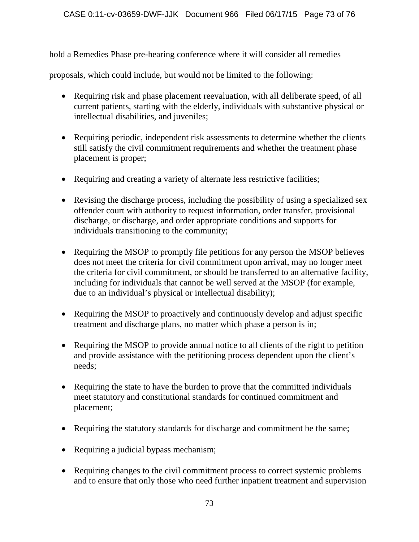hold a Remedies Phase pre-hearing conference where it will consider all remedies

proposals, which could include, but would not be limited to the following:

- Requiring risk and phase placement reevaluation, with all deliberate speed, of all current patients, starting with the elderly, individuals with substantive physical or intellectual disabilities, and juveniles;
- Requiring periodic, independent risk assessments to determine whether the clients still satisfy the civil commitment requirements and whether the treatment phase placement is proper;
- Requiring and creating a variety of alternate less restrictive facilities;
- Revising the discharge process, including the possibility of using a specialized sex offender court with authority to request information, order transfer, provisional discharge, or discharge, and order appropriate conditions and supports for individuals transitioning to the community;
- Requiring the MSOP to promptly file petitions for any person the MSOP believes does not meet the criteria for civil commitment upon arrival, may no longer meet the criteria for civil commitment, or should be transferred to an alternative facility, including for individuals that cannot be well served at the MSOP (for example, due to an individual's physical or intellectual disability);
- Requiring the MSOP to proactively and continuously develop and adjust specific treatment and discharge plans, no matter which phase a person is in;
- Requiring the MSOP to provide annual notice to all clients of the right to petition and provide assistance with the petitioning process dependent upon the client's needs;
- Requiring the state to have the burden to prove that the committed individuals meet statutory and constitutional standards for continued commitment and placement;
- Requiring the statutory standards for discharge and commitment be the same;
- Requiring a judicial bypass mechanism;
- Requiring changes to the civil commitment process to correct systemic problems and to ensure that only those who need further inpatient treatment and supervision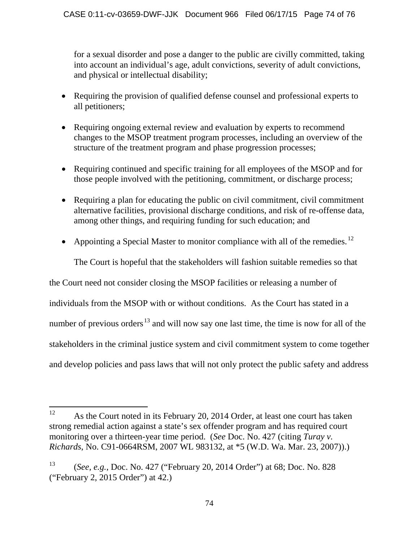for a sexual disorder and pose a danger to the public are civilly committed, taking into account an individual's age, adult convictions, severity of adult convictions, and physical or intellectual disability;

- Requiring the provision of qualified defense counsel and professional experts to all petitioners;
- Requiring ongoing external review and evaluation by experts to recommend changes to the MSOP treatment program processes, including an overview of the structure of the treatment program and phase progression processes;
- Requiring continued and specific training for all employees of the MSOP and for those people involved with the petitioning, commitment, or discharge process;
- Requiring a plan for educating the public on civil commitment, civil commitment alternative facilities, provisional discharge conditions, and risk of re-offense data, among other things, and requiring funding for such education; and
- Appointing a Special Master to monitor compliance with all of the remedies.<sup>[12](#page-73-0)</sup>

The Court is hopeful that the stakeholders will fashion suitable remedies so that

the Court need not consider closing the MSOP facilities or releasing a number of

individuals from the MSOP with or without conditions. As the Court has stated in a

number of previous orders<sup>[13](#page-73-1)</sup> and will now say one last time, the time is now for all of the

stakeholders in the criminal justice system and civil commitment system to come together

and develop policies and pass laws that will not only protect the public safety and address

<span id="page-73-0"></span><sup>&</sup>lt;sup>12</sup> As the Court noted in its February 20, 2014 Order, at least one court has taken strong remedial action against a state's sex offender program and has required court monitoring over a thirteen-year time period. (*See* Doc. No. 427 (citing *Turay v. Richards*, No. C91-0664RSM, 2007 WL 983132, at \*5 (W.D. Wa. Mar. 23, 2007)).)

<span id="page-73-1"></span><sup>13</sup> (*See, e.g.*, Doc. No. 427 ("February 20, 2014 Order") at 68; Doc. No. 828 ("February 2, 2015 Order") at 42.)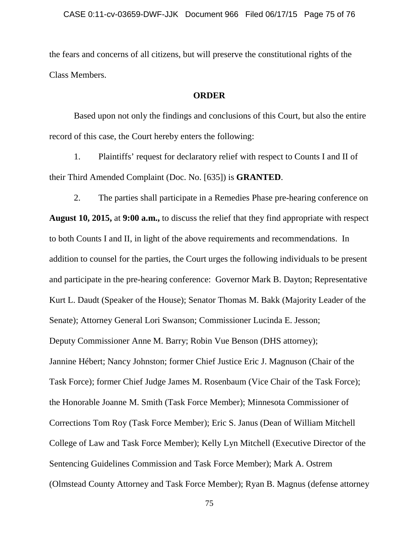the fears and concerns of all citizens, but will preserve the constitutional rights of the Class Members.

## **ORDER**

Based upon not only the findings and conclusions of this Court, but also the entire record of this case, the Court hereby enters the following:

1. Plaintiffs' request for declaratory relief with respect to Counts I and II of their Third Amended Complaint (Doc. No. [635]) is **GRANTED**.

2. The parties shall participate in a Remedies Phase pre-hearing conference on **August 10, 2015,** at **9:00 a.m.,** to discuss the relief that they find appropriate with respect to both Counts I and II, in light of the above requirements and recommendations. In addition to counsel for the parties, the Court urges the following individuals to be present and participate in the pre-hearing conference: Governor Mark B. Dayton; Representative Kurt L. Daudt (Speaker of the House); Senator Thomas M. Bakk (Majority Leader of the Senate); Attorney General Lori Swanson; Commissioner Lucinda E. Jesson; Deputy Commissioner Anne M. Barry; Robin Vue Benson (DHS attorney); Jannine Hébert; Nancy Johnston; former Chief Justice Eric J. Magnuson (Chair of the Task Force); former Chief Judge James M. Rosenbaum (Vice Chair of the Task Force); the Honorable Joanne M. Smith (Task Force Member); Minnesota Commissioner of Corrections Tom Roy (Task Force Member); Eric S. Janus (Dean of William Mitchell College of Law and Task Force Member); Kelly Lyn Mitchell (Executive Director of the Sentencing Guidelines Commission and Task Force Member); Mark A. Ostrem (Olmstead County Attorney and Task Force Member); Ryan B. Magnus (defense attorney